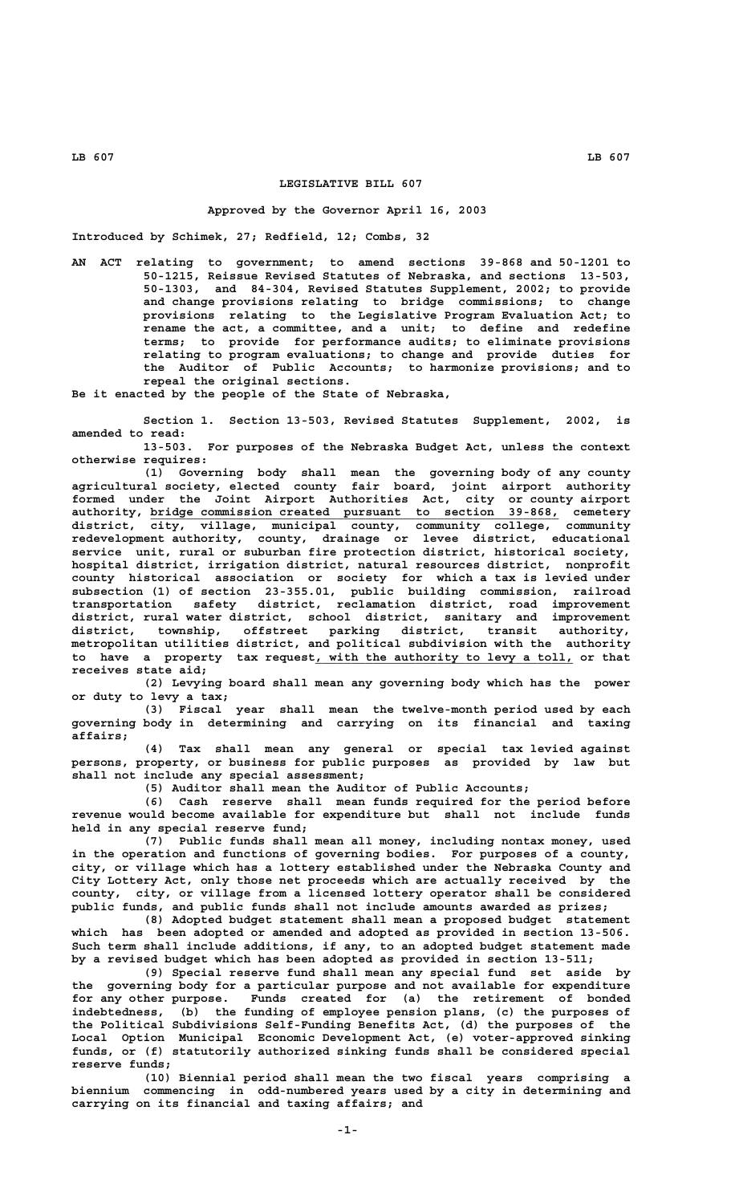# **LEGISLATIVE BILL 607**

# **Approved by the Governor April 16, 2003**

**Introduced by Schimek, 27; Redfield, 12; Combs, 32**

**AN ACT relating to government; to amend sections 39-868 and 50-1201 to 50-1215, Reissue Revised Statutes of Nebraska, and sections 13-503, 50-1303, and 84-304, Revised Statutes Supplement, 2002; to provide and change provisions relating to bridge commissions; to change provisions relating to the Legislative Program Evaluation Act; to rename the act, a committee, and a unit; to define and redefine terms; to provide for performance audits; to eliminate provisions relating to program evaluations; to change and provide duties for the Auditor of Public Accounts; to harmonize provisions; and to repeal the original sections.**

**Be it enacted by the people of the State of Nebraska,**

**Section 1. Section 13-503, Revised Statutes Supplement, 2002, is amended to read:**

**13-503. For purposes of the Nebraska Budget Act, unless the context otherwise requires:**

**(1) Governing body shall mean the governing body of any county agricultural society, elected county fair board, joint airport authority formed under the Joint Airport Authorities Act, city or county airport \_\_\_\_\_\_\_\_\_\_\_\_\_\_\_\_\_\_\_\_\_\_\_\_\_\_\_\_\_\_\_\_\_\_\_\_\_\_\_\_\_\_\_\_\_\_\_\_\_\_\_\_\_\_\_\_\_ authority, bridge commission created pursuant to section 39-868, cemetery district, city, village, municipal county, community college, community redevelopment authority, county, drainage or levee district, educational service unit, rural or suburban fire protection district, historical society, hospital district, irrigation district, natural resources district, nonprofit county historical association or society for which a tax is levied under subsection (1) of section 23-355.01, public building commission, railroad transportation safety district, reclamation district, road improvement district, rural water district, school district, sanitary and improvement district, township, offstreet parking district, transit authority, metropolitan utilities district, and political subdivision with the authority** to have a property tax request, with the authority to levy a toll, or that **receives state aid;**

**(2) Levying board shall mean any governing body which has the power or duty to levy a tax;**

**(3) Fiscal year shall mean the twelve-month period used by each governing body in determining and carrying on its financial and taxing affairs;**

**(4) Tax shall mean any general or special tax levied against persons, property, or business for public purposes as provided by law but shall not include any special assessment;**

**(5) Auditor shall mean the Auditor of Public Accounts;**

**(6) Cash reserve shall mean funds required for the period before revenue would become available for expenditure but shall not include funds held in any special reserve fund;**

**(7) Public funds shall mean all money, including nontax money, used in the operation and functions of governing bodies. For purposes of a county, city, or village which has a lottery established under the Nebraska County and City Lottery Act, only those net proceeds which are actually received by the county, city, or village from a licensed lottery operator shall be considered public funds, and public funds shall not include amounts awarded as prizes;**

**(8) Adopted budget statement shall mean a proposed budget statement which has been adopted or amended and adopted as provided in section 13-506. Such term shall include additions, if any, to an adopted budget statement made by a revised budget which has been adopted as provided in section 13-511;**

**(9) Special reserve fund shall mean any special fund set aside by the governing body for a particular purpose and not available for expenditure for any other purpose. Funds created for (a) the retirement of bonded indebtedness, (b) the funding of employee pension plans, (c) the purposes of the Political Subdivisions Self-Funding Benefits Act, (d) the purposes of the Local Option Municipal Economic Development Act, (e) voter-approved sinking funds, or (f) statutorily authorized sinking funds shall be considered special reserve funds;**

**(10) Biennial period shall mean the two fiscal years comprising a biennium commencing in odd-numbered years used by a city in determining and carrying on its financial and taxing affairs; and**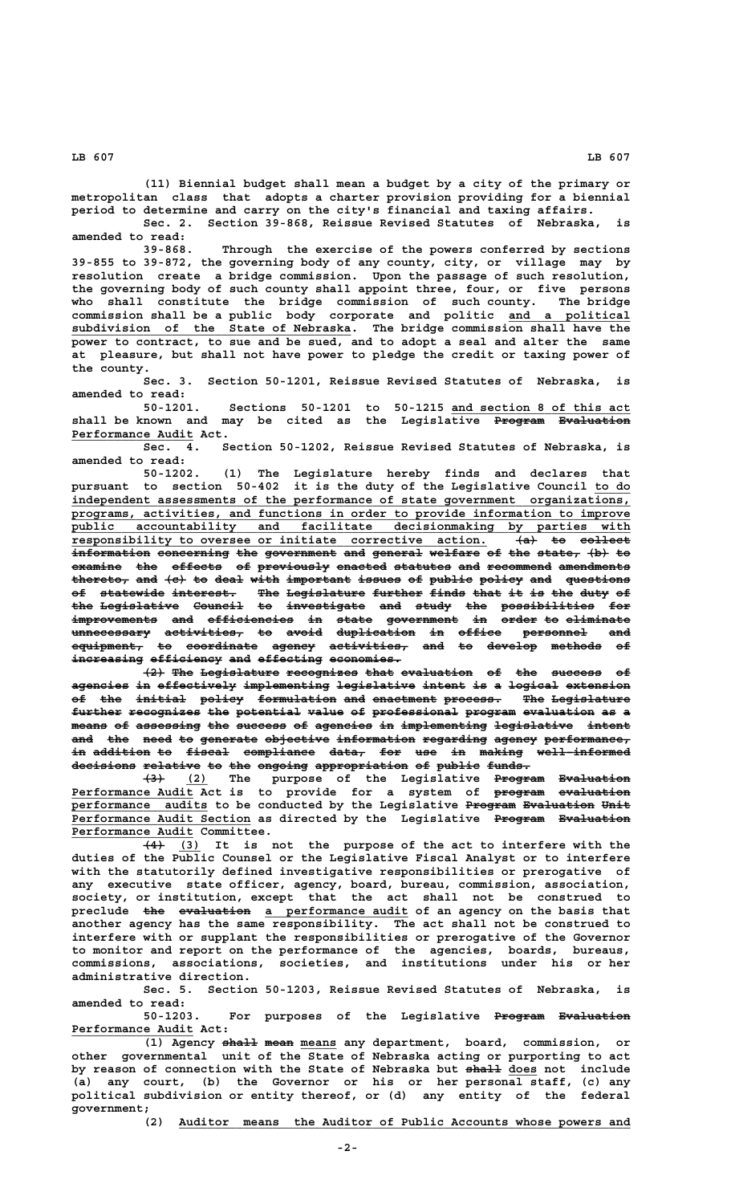**(11) Biennial budget shall mean a budget by a city of the primary or metropolitan class that adopts a charter provision providing for a biennial**

**period to determine and carry on the city's financial and taxing affairs. Sec. 2. Section 39-868, Reissue Revised Statutes of Nebraska, is amended to read:**

**39-868. Through the exercise of the powers conferred by sections 39-855 to 39-872, the governing body of any county, city, or village may by resolution create a bridge commission. Upon the passage of such resolution, the governing body of such county shall appoint three, four, or five persons who shall constitute the bridge commission of such county. The bridge commission shall be a public body corporate and politic and a political \_\_\_\_\_\_\_\_\_\_\_\_\_\_\_\_\_ \_\_\_\_\_\_\_\_\_\_\_\_\_\_\_\_\_\_\_\_\_\_\_\_\_\_\_\_\_\_\_\_\_\_\_\_\_\_\_ subdivision of the State of Nebraska. The bridge commission shall have the power to contract, to sue and be sued, and to adopt a seal and alter the same at pleasure, but shall not have power to pledge the credit or taxing power of the county.**

**Sec. 3. Section 50-1201, Reissue Revised Statutes of Nebraska, is amended to read:**

50-1201. Sections 50-1201 to 50-1215 and section 8 of this act shall be known and may be cited as the Legislative Program Evaluation  **\_\_\_\_\_\_\_\_\_\_\_\_\_\_\_\_\_ Performance Audit Act.**

**Sec. 4. Section 50-1202, Reissue Revised Statutes of Nebraska, is amended to read:**

**50-1202. (1) The Legislature hereby finds and declares that pursuant to section 50-402 it is the duty of the Legislative Council to do \_\_\_\_\_ \_\_\_\_\_\_\_\_\_\_\_\_\_\_\_\_\_\_\_\_\_\_\_\_\_\_\_\_\_\_\_\_\_\_\_\_\_\_\_\_\_\_\_\_\_\_\_\_\_\_\_\_\_\_\_\_\_\_\_\_\_\_\_\_\_\_\_\_\_\_\_\_\_\_\_\_\_\_ independent assessments of the performance of state government organizations, \_\_\_\_\_\_\_\_\_\_\_\_\_\_\_\_\_\_\_\_\_\_\_\_\_\_\_\_\_\_\_\_\_\_\_\_\_\_\_\_\_\_\_\_\_\_\_\_\_\_\_\_\_\_\_\_\_\_\_\_\_\_\_\_\_\_\_\_\_\_\_\_\_\_\_\_\_\_ programs, activities, and functions in order to provide information to improve \_\_\_\_\_\_\_\_\_\_\_\_\_\_\_\_\_\_\_\_\_\_\_\_\_\_\_\_\_\_\_\_\_\_\_\_\_\_\_\_\_\_\_\_\_\_\_\_\_\_\_\_\_\_\_\_\_\_\_\_\_\_\_\_\_\_\_\_\_\_\_\_\_\_\_\_\_\_ public accountability and facilitate decisionmaking by parties with responsibility to oversee or initiate corrective action. (a) to collect \_\_\_\_\_\_\_\_\_\_\_\_\_\_\_\_\_\_\_\_\_\_\_\_\_\_\_\_\_\_\_\_\_\_\_\_\_\_\_\_\_\_\_\_\_\_\_\_\_\_\_\_\_\_\_\_\_\_ ——— —— ———————**  $\frac{1}{2}$  information concerning the government and general welfare of the state,  $\{b\}$  to examine the effects of previously enacted statutes and recommend amendments  $t$ hereto, and  $\{e\}$  to deal with important issues of public policy and questions **of statewide interest. The Legislature further finds that it is the duty of —— ————————— ————————— ——— ——————————— ——————— ————— ———— —— —— ——— ———— — the Legislative Council to investigate and study the possibilities for ——— ——————————— ——————— —— ——————————— ——— ————— ——— ————————————— —— improvements and efficiencies in state government in order to eliminate ———————————— ——— ———————————— —— ————— —————————— —— ————— —— ———————— unnecessary activities, to avoid duplication in office personnel and ——————————— ——————————— —— ————— ——————————— —— —————— ————————— —— equipment, to coordinate agency activities, and to develop methods of —————————— —— —————————— —————— ——————————— ——— —— ——————— ——————— —** increasing efficiency and effecting economies.

**(2) The Legislature recognizes that evaluation of the success of agencies in effectively implementing legislative intent is a logical extension ———————— —— ——————————— ———————————— ——————————— —————— —— — ——————— ————————** of the initial policy formulation and enactment process. The Legislature further recognizes the potential value of professional program evaluation as a  $mean$  of assessing the success of agencies in implementing legislative intent and the need to generate objective information regarding agency performance, in addition to fiscal compliance data, for use in making well-informed decisions relative to the ongoing appropriation of public funds.

 **——— \_\_\_ ——————— —————————— (3) (2) The purpose of the Legislative Program Evaluation \_\_\_\_\_\_\_\_\_\_\_\_\_\_\_\_\_ ——————— —————————— Performance Audit Act is to provide for a system of program evaluation performance audits to be conducted by the Legislative Program Evaluation Unit \_\_\_\_\_\_\_\_\_\_\_\_\_\_\_\_\_\_\_ ——————— —————————— ———— \_\_\_\_\_\_\_\_\_\_\_\_\_\_\_\_\_\_\_\_\_\_\_\_\_ ——————— —————————— Performance Audit Section as directed by the Legislative Program Evaluation \_\_\_\_\_\_\_\_\_\_\_\_\_\_\_\_\_ Performance Audit Committee.**

 $\overline{(4)}$   $\overline{(3)}$  It is not the purpose of the act to interfere with the **duties of the Public Counsel or the Legislative Fiscal Analyst or to interfere with the statutorily defined investigative responsibilities or prerogative of any executive state officer, agency, board, bureau, commission, association, society, or institution, except that the act shall not be construed to** preclude the evaluation a performance audit of an agency on the basis that **another agency has the same responsibility. The act shall not be construed to interfere with or supplant the responsibilities or prerogative of the Governor to monitor and report on the performance of the agencies, boards, bureaus, commissions, associations, societies, and institutions under his or her administrative direction.**

**Sec. 5. Section 50-1203, Reissue Revised Statutes of Nebraska, is amended to read:**

For purposes of the Legislative Program Evaluation  **\_\_\_\_\_\_\_\_\_\_\_\_\_\_\_\_\_ Performance Audit Act:**

(1) Agency shall mean means any department, board, commission, or **other governmental unit of the State of Nebraska acting or purporting to act** by reason of connection with the State of Nebraska but <del>shall</del> does not include **(a) any court, (b) the Governor or his or her personal staff, (c) any political subdivision or entity thereof, or (d) any entity of the federal government;**

 **\_\_\_\_\_\_\_\_\_\_\_\_\_\_\_\_\_\_\_\_\_\_\_\_\_\_\_\_\_\_\_\_\_\_\_\_\_\_\_\_\_\_\_\_\_\_\_\_\_\_\_\_\_\_\_\_\_\_\_\_\_\_\_ (2) Auditor means the Auditor of Public Accounts whose powers and**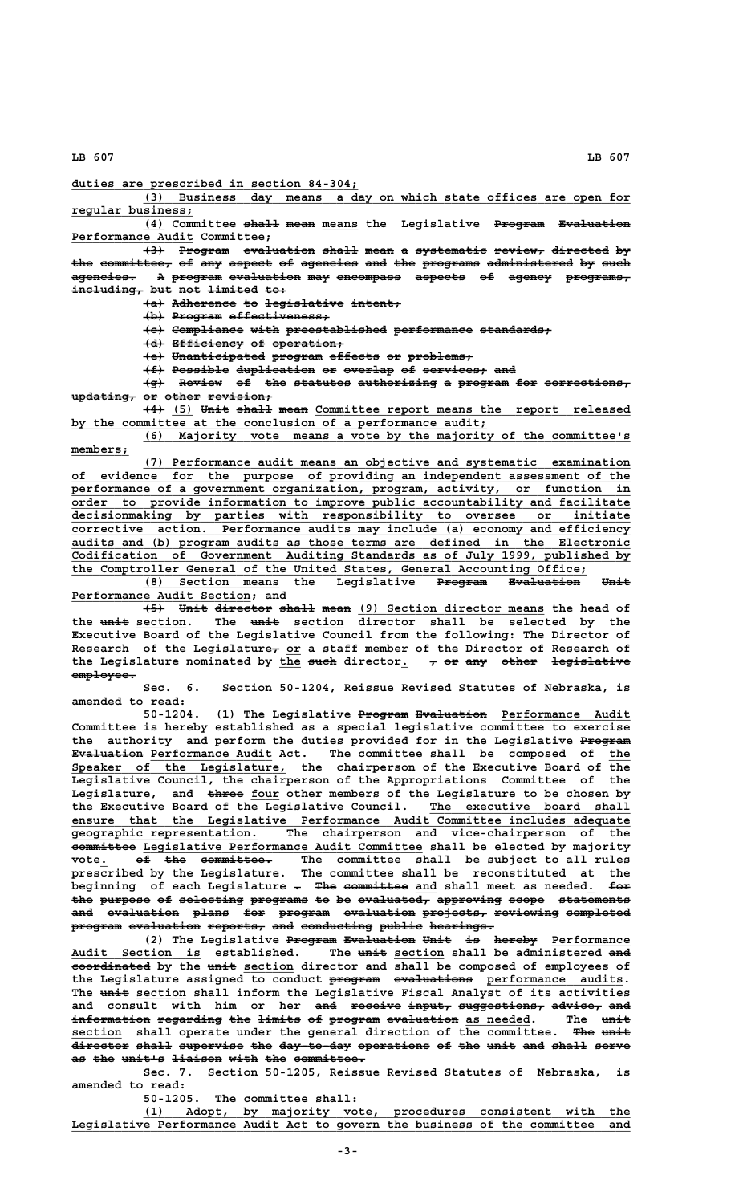**\_\_\_\_\_\_\_\_\_\_\_\_\_\_\_\_\_\_\_\_\_\_\_\_\_\_\_\_\_\_\_\_\_\_\_\_\_\_\_\_ duties are prescribed in section 84-304;**

 **\_\_\_\_\_\_\_\_\_\_\_\_\_\_\_\_\_\_\_\_\_\_\_\_\_\_\_\_\_\_\_\_\_\_\_\_\_\_\_\_\_\_\_\_\_\_\_\_\_\_\_\_\_\_\_\_\_\_\_\_\_\_\_\_\_\_\_\_ (3) Business day means a day on which state offices are open for regular business; \_\_\_\_\_\_\_\_\_\_\_\_\_\_\_\_\_**

**(4) Committee shall mean means the Legislative Program Evaluation \_\_\_ ————— ———— \_\_\_\_\_ ——————— —————————— \_\_\_\_\_\_\_\_\_\_\_\_\_\_\_\_\_ Performance Audit Committee;**

 $\overline{13}$  Program evaluation shall mean a systematic review, directed by the committee, of any aspect of agencies and the programs administered by such **agencies. A program evaluation may encompass aspects of agency programs, ————————— — ——————— —————————— ——— ————————— ——————— —— —————— ————————** including, but not limited to:

**(a) Adherence to legislative intent; ——— ————————— —— ——————————— ———————**

**(b) Program effectiveness; ——— ——————— ——————————————**

 $\{e\}$  Compliance with preestablished performance standards;

**(d) Efficiency of operation; ——— —————————— —— ——————————**

**(e) Unanticipated program effects or problems; ——— ————————————— ——————— ——————— —— —————————**

**(f) Possible duplication or overlap of services, and** 

**(g) Review of the statutes authorizing a program for corrections, ——— —————— —— ——— ———————— ——————————— — ——————— ——— ——————————— updating, or other revision; ————————— —— ————— —————————**

 $\overline{+4}$  (5) Unit shall mean Committee report means the report released by the committee at the conclusion of a performance audit;

 **\_\_\_\_\_\_\_\_\_\_\_\_\_\_\_\_\_\_\_\_\_\_\_\_\_\_\_\_\_\_\_\_\_\_\_\_\_\_\_\_\_\_\_\_\_\_\_\_\_\_\_\_\_\_\_\_\_\_\_\_\_\_\_\_\_\_\_\_ (6) Majority vote means a vote by the majority of the committee's members; \_\_\_\_\_\_\_\_**

 **\_\_\_\_\_\_\_\_\_\_\_\_\_\_\_\_\_\_\_\_\_\_\_\_\_\_\_\_\_\_\_\_\_\_\_\_\_\_\_\_\_\_\_\_\_\_\_\_\_\_\_\_\_\_\_\_\_\_\_\_\_\_\_\_\_\_\_\_ (7) Performance audit means an objective and systematic examination \_\_\_\_\_\_\_\_\_\_\_\_\_\_\_\_\_\_\_\_\_\_\_\_\_\_\_\_\_\_\_\_\_\_\_\_\_\_\_\_\_\_\_\_\_\_\_\_\_\_\_\_\_\_\_\_\_\_\_\_\_\_\_\_\_\_\_\_\_\_\_\_\_\_\_\_\_\_ of evidence for the purpose of providing an independent assessment of the \_\_\_\_\_\_\_\_\_\_\_\_\_\_\_\_\_\_\_\_\_\_\_\_\_\_\_\_\_\_\_\_\_\_\_\_\_\_\_\_\_\_\_\_\_\_\_\_\_\_\_\_\_\_\_\_\_\_\_\_\_\_\_\_\_\_\_\_\_\_\_\_\_\_\_\_\_\_ performance of a government organization, program, activity, or function in \_\_\_\_\_\_\_\_\_\_\_\_\_\_\_\_\_\_\_\_\_\_\_\_\_\_\_\_\_\_\_\_\_\_\_\_\_\_\_\_\_\_\_\_\_\_\_\_\_\_\_\_\_\_\_\_\_\_\_\_\_\_\_\_\_\_\_\_\_\_\_\_\_\_\_\_\_\_ order to provide information to improve public accountability and facilitate \_\_\_\_\_\_\_\_\_\_\_\_\_\_\_\_\_\_\_\_\_\_\_\_\_\_\_\_\_\_\_\_\_\_\_\_\_\_\_\_\_\_\_\_\_\_\_\_\_\_\_\_\_\_\_\_\_\_\_\_\_\_\_\_\_\_\_\_\_\_\_\_\_\_\_\_\_\_ decisionmaking by parties with responsibility to oversee or initiate \_\_\_\_\_\_\_\_\_\_\_\_\_\_\_\_\_\_\_\_\_\_\_\_\_\_\_\_\_\_\_\_\_\_\_\_\_\_\_\_\_\_\_\_\_\_\_\_\_\_\_\_\_\_\_\_\_\_\_\_\_\_\_\_\_\_\_\_\_\_\_\_\_\_\_\_\_\_ corrective action. Performance audits may include (a) economy and efficiency \_\_\_\_\_\_\_\_\_\_\_\_\_\_\_\_\_\_\_\_\_\_\_\_\_\_\_\_\_\_\_\_\_\_\_\_\_\_\_\_\_\_\_\_\_\_\_\_\_\_\_\_\_\_\_\_\_\_\_\_\_\_\_\_\_\_\_\_\_\_\_\_\_\_\_\_\_\_ audits and (b) program audits as those terms are defined in the Electronic \_\_\_\_\_\_\_\_\_\_\_\_\_\_\_\_\_\_\_\_\_\_\_\_\_\_\_\_\_\_\_\_\_\_\_\_\_\_\_\_\_\_\_\_\_\_\_\_\_\_\_\_\_\_\_\_\_\_\_\_\_\_\_\_\_\_\_\_\_\_\_\_\_\_\_\_\_\_ Codification of Government Auditing Standards as of July 1999, published by**

**the Comptroller General of the United States, General Accounting Office;**<br>(8) Section means the Legislative Program Evaluation **(8) Section means the Legislative Program Evaluation Unit \_\_\_\_\_\_\_\_\_\_\_\_\_\_\_\_\_\_\_ ——————— —————————— ———— \_\_\_\_\_\_\_\_\_\_\_\_\_\_\_\_\_\_\_\_\_\_\_\_\_ Performance Audit Section; and**

 $\overline{+5}$  Unit director shall mean (9) Section director means the head of the unit section. The unit section director shall be selected by the **Executive Board of the Legislative Council from the following: The Director of** Research of the Legislature<sub>r</sub> or a staff member of the Director of Research of the Legislature nominated by the such director.  $\tau$  or any other legislative employee.

**Sec. 6. Section 50-1204, Reissue Revised Statutes of Nebraska, is amended to read:**

 **——————— —————————— \_\_\_\_\_\_\_\_\_\_\_\_\_\_\_\_\_\_ 50-1204. (1) The Legislative Program Evaluation Performance Audit Committee is hereby established as a special legislative committee to exercise** the authority and perform the duties provided for in the Legislative Program **Evaluation Performance Audit Act.** The committee shall be composed of the  **\_\_\_\_\_\_\_\_\_\_\_\_\_\_\_\_\_\_\_\_\_\_\_\_\_\_\_\_\_\_ Speaker of the Legislature, the chairperson of the Executive Board of the Legislative Council, the chairperson of the Appropriations Committee of the** Legislature, and three four other members of the Legislature to be chosen by the Executive Board of the Legislative Council. The executive board shall  **\_\_\_\_\_\_\_\_\_\_\_\_\_\_\_\_\_\_\_\_\_\_\_\_\_\_\_\_\_\_\_\_\_\_\_\_\_\_\_\_\_\_\_\_\_\_\_\_\_\_\_\_\_\_\_\_\_\_\_\_\_\_\_\_\_\_\_\_\_\_\_\_\_\_\_\_\_\_ ensure that the Legislative Performance Audit Committee includes adequate \_\_\_\_\_\_\_\_\_\_\_\_\_\_\_\_\_\_\_\_\_\_\_\_\_\_ geographic representation. The chairperson and vice-chairperson of the ————————— \_\_\_\_\_\_\_\_\_\_\_\_\_\_\_\_\_\_\_\_\_\_\_\_\_\_\_\_\_\_\_\_\_\_\_\_\_\_\_ committee Legislative Performance Audit Committee shall be elected by majority vote. <del>of the committee.</del> The committee shall be subject to all rules prescribed by the Legislature. The committee shall be reconstituted at the** beginning of each Legislature - The committee and shall meet as needed. for the purpose of selecting programs to be evaluated, approving scope statements **and evaluation plans for program evaluation projects, reviewing completed ——— —————————— ————— ——— ——————— —————————— ————————— ————————— ———————— program evaluation reports, and conducting public hearings. ——————— —————————— ———————— ——— —————————— —————— —————————**

(2) The Legislative Program Evaluation Unit is hereby Performance Audit Section is established. The unit section shall be administered and  $\overline{\text{eocrdinated by the unit section directory and shall be composed of employees of}}$ the Legislature assigned to conduct program evaluations performance audits. The unit section shall inform the Legislative Fiscal Analyst of its activities and consult with him or her and receive input, suggestions, advice, and information regarding the limits of program evaluation as needed. The unit  $\frac{1}{2}$  **section** shall operate under the general direction of the committee. The unit **director shall supervise the day-to-day operations of the unit and shall serve ———————— ————— ————————— ——— —————————— —————————— —— ——— ———— ——— ————— ————** as the unit's liaison with the committee.

**Sec. 7. Section 50-1205, Reissue Revised Statutes of Nebraska, is amended to read:**

**50-1205. The committee shall:**

 **\_\_\_\_\_\_\_\_\_\_\_\_\_\_\_\_\_\_\_\_\_\_\_\_\_\_\_\_\_\_\_\_\_\_\_\_\_\_\_\_\_\_\_\_\_\_\_\_\_\_\_\_\_\_\_\_\_\_\_\_\_\_\_\_\_\_\_\_ (1) Adopt, by majority vote, procedures consistent with the \_\_\_\_\_\_\_\_\_\_\_\_\_\_\_\_\_\_\_\_\_\_\_\_\_\_\_\_\_\_\_\_\_\_\_\_\_\_\_\_\_\_\_\_\_\_\_\_\_\_\_\_\_\_\_\_\_\_\_\_\_\_\_\_\_\_\_\_\_\_\_\_\_\_\_\_\_\_ Legislative Performance Audit Act to govern the business of the committee and**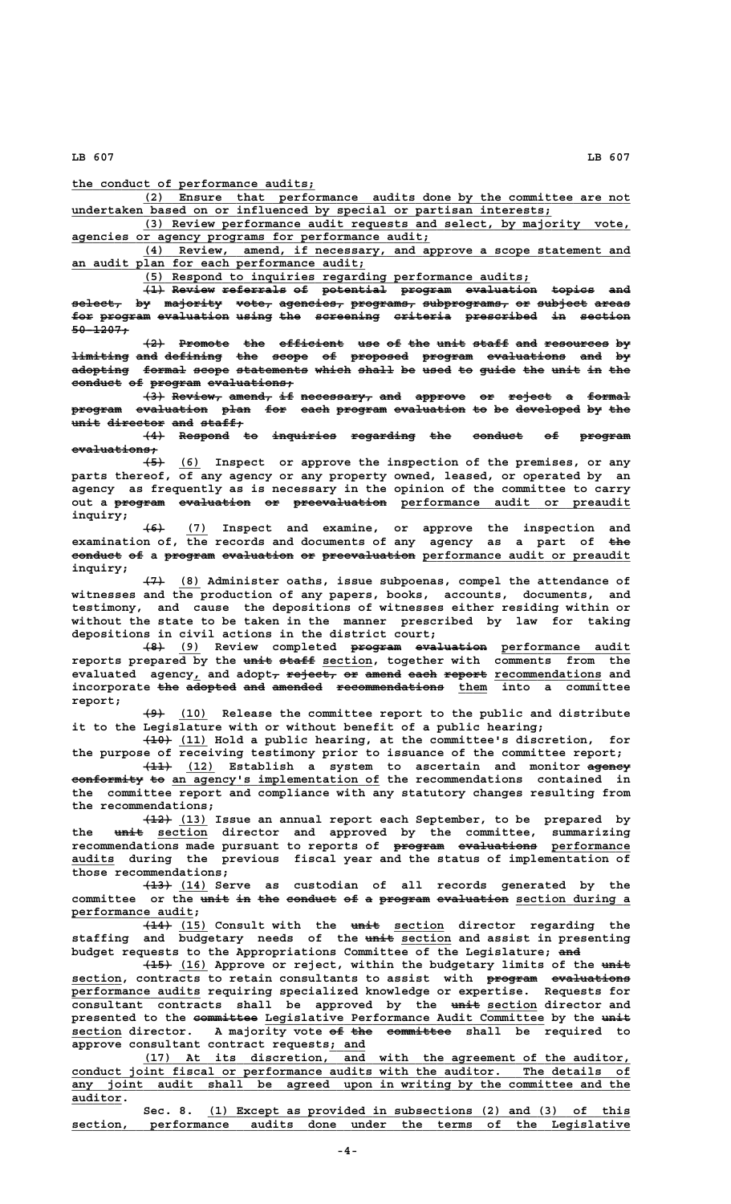**\_\_\_\_\_\_\_\_\_\_\_\_\_\_\_\_\_\_\_\_\_\_\_\_\_\_\_\_\_\_\_\_\_\_ the conduct of performance audits;**

 **\_\_\_\_\_\_\_\_\_\_\_\_\_\_\_\_\_\_\_\_\_\_\_\_\_\_\_\_\_\_\_\_\_\_\_\_\_\_\_\_\_\_\_\_\_\_\_\_\_\_\_\_\_\_\_\_\_\_\_\_\_\_\_\_\_\_\_\_ (2) Ensure that performance audits done by the committee are not \_\_\_\_\_\_\_\_\_\_\_\_\_\_\_\_\_\_\_\_\_\_\_\_\_\_\_\_\_\_\_\_\_\_\_\_\_\_\_\_\_\_\_\_\_\_\_\_\_\_\_\_\_\_\_\_\_\_\_\_\_\_\_\_\_\_\_ undertaken based on or influenced by special or partisan interests;**

 **\_\_\_\_\_\_\_\_\_\_\_\_\_\_\_\_\_\_\_\_\_\_\_\_\_\_\_\_\_\_\_\_\_\_\_\_\_\_\_\_\_\_\_\_\_\_\_\_\_\_\_\_\_\_\_\_\_\_\_\_\_\_\_\_\_\_\_\_ (3) Review performance audit requests and select, by majority vote, \_\_\_\_\_\_\_\_\_\_\_\_\_\_\_\_\_\_\_\_\_\_\_\_\_\_\_\_\_\_\_\_\_\_\_\_\_\_\_\_\_\_\_\_\_\_\_\_\_\_ agencies or agency programs for performance audit;**

 **\_\_\_\_\_\_\_\_\_\_\_\_\_\_\_\_\_\_\_\_\_\_\_\_\_\_\_\_\_\_\_\_\_\_\_\_\_\_\_\_\_\_\_\_\_\_\_\_\_\_\_\_\_\_\_\_\_\_\_\_\_\_\_\_\_\_\_\_ (4) Review, amend, if necessary, and approve a scope statement and \_\_\_\_\_\_\_\_\_\_\_\_\_\_\_\_\_\_\_\_\_\_\_\_\_\_\_\_\_\_\_\_\_\_\_\_\_\_\_\_\_ an audit plan for each performance audit;**

 **\_\_\_\_\_\_\_\_\_\_\_\_\_\_\_\_\_\_\_\_\_\_\_\_\_\_\_\_\_\_\_\_\_\_\_\_\_\_\_\_\_\_\_\_\_\_\_\_\_\_\_\_\_\_ (5) Respond to inquiries regarding performance audits;**

 $\overline{1}$  Review referrals of potential program evaluation topics and  $\texttt{select}, \texttt{by majority}$   $\texttt{vector}, \texttt{agent}, \texttt{p}$   $\texttt{property}$   $\texttt{set}, \texttt{agent}$   $\texttt{m}$   $\texttt{p}$   $\texttt{m}$   $\texttt{c}$   $\texttt{p}$   $\texttt{m}$   $\texttt{t}$   $\texttt{t}$   $\texttt{t}$   $\texttt{t}$   $\texttt{t}$   $\texttt{t}$   $\texttt{t}$   $\texttt{t}$   $\texttt{t}$   $\texttt{t}$   $\texttt{t}$   $\texttt{t}$ for program evaluation using the screening criteria prescribed in section  **50-1207; ————————**

 $\{2\}$  Promote the efficient use of the unit staff and resources by **limiting and defining the scope of proposed program evaluations and by ———————— ——— ———————— ——— ————— —— ———————— ——————— ——————————— ——— — adopting formal scope statements which shall be used to guide the unit in the ———————— —————— ————— —————————— ————— ————— —— ———— —— ————— ——— ———— —— ——** conduct of program evaluations;

 $\left\{\frac{3}{4}\right\}$  Review, amend, if necessary, and approve or reject a formal program evaluation plan for each program evaluation to be developed by the **unit director and staff;** 

**(4) Respond to inquiries regarding the conduct of program ——— ——————— —— ————————— ————————— ——— ——————— —— —————— evaluations; ————————————**

 **——— \_\_\_ (5) (6) Inspect or approve the inspection of the premises, or any parts thereof, of any agency or any property owned, leased, or operated by an agency as frequently as is necessary in the opinion of the committee to carry** out a program evaluation or preevaluation performance audit or preaudit  **inquiry;**

 **——— \_\_\_ (6) (7) Inspect and examine, or approve the inspection and examination of, the records and documents of any agency as a part of the ——** conduct of a program evaluation or preevaluation performance audit or preaudit  **inquiry;**

 **——— \_\_\_ (7) (8) Administer oaths, issue subpoenas, compel the attendance of witnesses and the production of any papers, books, accounts, documents, and testimony, and cause the depositions of witnesses either residing within or without the state to be taken in the manner prescribed by law for taking depositions in civil actions in the district court;**

**(8) (9) Review completed program evaluation performance audit ——— \_\_\_ ——————— —————————— \_\_\_\_\_\_\_\_\_\_\_\_\_\_\_\_\_\_** reports prepared by the unit staff section, together with comments from the evaluated agency, and adopt<del>, reject, or amend each report</del> recommendations and incorporate the adopted and amended recommendations them into a committee  **report;**

 **——— \_\_\_\_ (9) (10) Release the committee report to the public and distribute it to the Legislature with or without benefit of a public hearing;**

 **———— \_\_\_\_ (10) (11) Hold a public hearing, at the committee's discretion, for the purpose of receiving testimony prior to issuance of the committee report;**

 **———— \_\_\_\_ —————— (11) (12) Establish a system to ascertain and monitor agency conformity to an agency's implementation of the recommendations contained in the committee report and compliance with any statutory changes resulting from the recommendations;**

 **———— \_\_\_\_ (12) (13) Issue an annual report each September, to be prepared by ———— \_\_\_\_\_\_\_ the unit section director and approved by the committee, summarizing** recommendations made pursuant to reports of program evaluations performance  **\_\_\_\_\_\_ audits during the previous fiscal year and the status of implementation of those recommendations;**

 **———— \_\_\_\_ (13) (14) Serve as custodian of all records generated by the** committee or the <del>unit in the conduct of a program evaluation</del> section during a  **performance audit; \_\_\_\_\_\_\_\_\_\_\_\_\_\_\_\_\_**

 **———— \_\_\_\_ ———— \_\_\_\_\_\_\_ (14) (15) Consult with the unit section director regarding the ———— \_\_\_\_\_\_\_ staffing and budgetary needs of the unit section and assist in presenting** budget requests to the Appropriations Committee of the Legislature; and

 $\overline{(16)}$  Approve or reject, within the budgetary limits of the unit  **\_\_\_\_\_\_\_ ——————— ——————————— section, contracts to retain consultants to assist with program evaluations \_\_\_\_\_\_\_\_\_\_\_\_\_\_\_\_\_\_ performance audits requiring specialized knowledge or expertise. Requests for** consultant contracts shall be approved by the  $\frac{unit}{n}$  section director and presented to the committee Legislative Performance Audit Committee by the unit  **\_\_\_\_\_\_\_ —— ——— ————————— section director. A majority vote of the committee shall be required to \_\_\_\_\_ approve consultant contract requests; and**

 **\_\_\_\_\_\_\_\_\_\_\_\_\_\_\_\_\_\_\_\_\_\_\_\_\_\_\_\_\_\_\_\_\_\_\_\_\_\_\_\_\_\_\_\_\_\_\_\_\_\_\_\_\_\_\_\_\_\_\_\_\_\_\_\_\_\_\_\_ (17) At its discretion, and with the agreement of the auditor, \_\_\_\_\_\_\_\_\_\_\_\_\_\_\_\_\_\_\_\_\_\_\_\_\_\_\_\_\_\_\_\_\_\_\_\_\_\_\_\_\_\_\_\_\_\_\_\_\_\_\_\_\_\_\_\_\_\_\_\_\_\_\_\_\_\_\_\_\_\_\_\_\_\_\_\_\_\_ conduct joint fiscal or performance audits with the auditor. The details of** any joint audit shall be agreed upon in writing by the committee and the  **auditor. \_\_\_\_\_\_\_**

Sec. 8. (1) Except as provided in subsections (2) and (3) of this  $section,$  performance audits done under the terms of the Legislative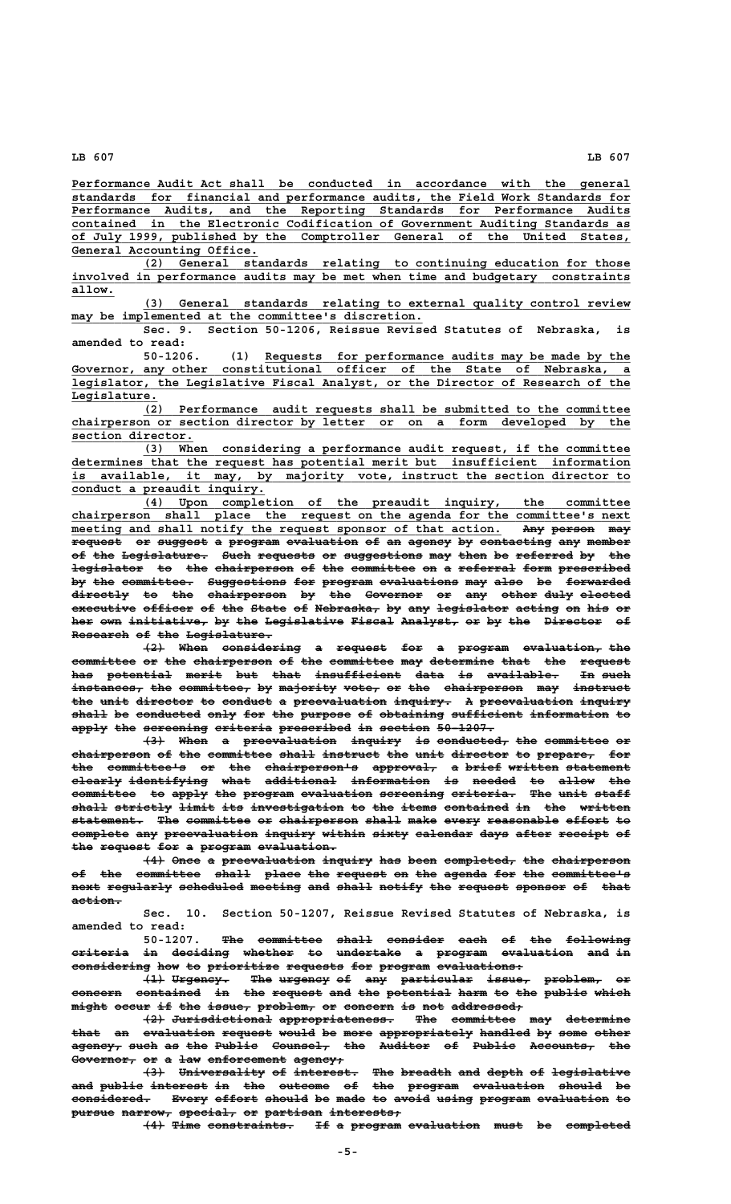**\_\_\_\_\_\_\_\_\_\_\_\_\_\_\_\_\_\_\_\_\_\_\_\_\_\_\_\_\_\_\_\_\_\_\_\_\_\_\_\_\_\_\_\_\_\_\_\_\_\_\_\_\_\_\_\_\_\_\_\_\_\_\_\_\_\_\_\_\_\_\_\_\_\_\_\_\_\_ Performance Audit Act shall be conducted in accordance with the general \_\_\_\_\_\_\_\_\_\_\_\_\_\_\_\_\_\_\_\_\_\_\_\_\_\_\_\_\_\_\_\_\_\_\_\_\_\_\_\_\_\_\_\_\_\_\_\_\_\_\_\_\_\_\_\_\_\_\_\_\_\_\_\_\_\_\_\_\_\_\_\_\_\_\_\_\_\_ standards for financial and performance audits, the Field Work Standards for \_\_\_\_\_\_\_\_\_\_\_\_\_\_\_\_\_\_\_\_\_\_\_\_\_\_\_\_\_\_\_\_\_\_\_\_\_\_\_\_\_\_\_\_\_\_\_\_\_\_\_\_\_\_\_\_\_\_\_\_\_\_\_\_\_\_\_\_\_\_\_\_\_\_\_\_\_\_ Performance Audits, and the Reporting Standards for Performance Audits \_\_\_\_\_\_\_\_\_\_\_\_\_\_\_\_\_\_\_\_\_\_\_\_\_\_\_\_\_\_\_\_\_\_\_\_\_\_\_\_\_\_\_\_\_\_\_\_\_\_\_\_\_\_\_\_\_\_\_\_\_\_\_\_\_\_\_\_\_\_\_\_\_\_\_\_\_\_ contained in the Electronic Codification of Government Auditing Standards as \_\_\_\_\_\_\_\_\_\_\_\_\_\_\_\_\_\_\_\_\_\_\_\_\_\_\_\_\_\_\_\_\_\_\_\_\_\_\_\_\_\_\_\_\_\_\_\_\_\_\_\_\_\_\_\_\_\_\_\_\_\_\_\_\_\_\_\_\_\_\_\_\_\_\_\_\_\_ of July 1999, published by the Comptroller General of the United States, \_\_\_\_\_\_\_\_\_\_\_\_\_\_\_\_\_\_\_\_\_\_\_\_\_\_ General Accounting Office.**

 **\_\_\_\_\_\_\_\_\_\_\_\_\_\_\_\_\_\_\_\_\_\_\_\_\_\_\_\_\_\_\_\_\_\_\_\_\_\_\_\_\_\_\_\_\_\_\_\_\_\_\_\_\_\_\_\_\_\_\_\_\_\_\_\_\_\_\_\_ (2) General standards relating to continuing education for those \_\_\_\_\_\_\_\_\_\_\_\_\_\_\_\_\_\_\_\_\_\_\_\_\_\_\_\_\_\_\_\_\_\_\_\_\_\_\_\_\_\_\_\_\_\_\_\_\_\_\_\_\_\_\_\_\_\_\_\_\_\_\_\_\_\_\_\_\_\_\_\_\_\_\_\_\_\_ involved in performance audits may be met when time and budgetary constraints allow.\_\_\_\_\_\_**

 **\_\_\_\_\_\_\_\_\_\_\_\_\_\_\_\_\_\_\_\_\_\_\_\_\_\_\_\_\_\_\_\_\_\_\_\_\_\_\_\_\_\_\_\_\_\_\_\_\_\_\_\_\_\_\_\_\_\_\_\_\_\_\_\_\_\_\_\_ (3) General standards relating to external quality control review**  $may$  be implemented at the committee's discretion.

**Sec. 9. Section 50-1206, Reissue Revised Statutes of Nebraska, is amended to read:**

 **\_\_\_\_\_\_\_\_\_\_\_\_\_\_\_\_\_\_\_\_\_\_\_\_\_\_\_\_\_\_\_\_\_\_\_\_\_\_\_\_\_\_\_\_\_\_\_\_\_\_\_ 50-1206. (1) Requests for performance audits may be made by the \_\_\_\_\_\_\_\_\_\_\_\_\_\_\_\_\_\_\_\_\_\_\_\_\_\_\_\_\_\_\_\_\_\_\_\_\_\_\_\_\_\_\_\_\_\_\_\_\_\_\_\_\_\_\_\_\_\_\_\_\_\_\_\_\_\_\_\_\_\_\_\_\_\_\_\_\_\_ Governor, any other constitutional officer of the State of Nebraska, a Express Lot performance audits may be made by the Governor, any other constitutional officer of the State of Nebraska, a** legislator, the Legislative Fiscal Analyst, or the Director of Research of the  **Legislature. \_\_\_\_\_\_\_\_\_\_\_\_**

 **\_\_\_\_\_\_\_\_\_\_\_\_\_\_\_\_\_\_\_\_\_\_\_\_\_\_\_\_\_\_\_\_\_\_\_\_\_\_\_\_\_\_\_\_\_\_\_\_\_\_\_\_\_\_\_\_\_\_\_\_\_\_\_\_\_\_\_\_ (2) Performance audit requests shall be submitted to the committee \_\_\_\_\_\_\_\_\_\_\_\_\_\_\_\_\_\_\_\_\_\_\_\_\_\_\_\_\_\_\_\_\_\_\_\_\_\_\_\_\_\_\_\_\_\_\_\_\_\_\_\_\_\_\_\_\_\_\_\_\_\_\_\_\_\_\_\_\_\_\_\_\_\_\_\_\_\_ chairperson or section director by letter or on a form developed by the** section director.

> **\_\_\_\_\_\_\_\_\_\_\_\_\_\_\_\_\_\_\_\_\_\_\_\_\_\_\_\_\_\_\_\_\_\_\_\_\_\_\_\_\_\_\_\_\_\_\_\_\_\_\_\_\_\_\_\_\_\_\_\_\_\_\_\_\_\_\_\_ (3) When considering a performance audit request, if the committee \_\_\_\_\_\_\_\_\_\_\_\_\_\_\_\_\_\_\_\_\_\_\_\_\_\_\_\_\_\_\_\_\_\_\_\_\_\_\_\_\_\_\_\_\_\_\_\_\_\_\_\_\_\_\_\_\_\_\_\_\_\_\_\_\_\_\_\_\_\_\_\_\_\_\_\_\_\_ determines that the request has potential merit but insufficient information \_\_\_\_\_\_\_\_\_\_\_\_\_\_\_\_\_\_\_\_\_\_\_\_\_\_\_\_\_\_\_\_\_\_\_\_\_\_\_\_\_\_\_\_\_\_\_\_\_\_\_\_\_\_\_\_\_\_\_\_\_\_\_\_\_\_\_\_\_\_\_\_\_\_\_\_\_\_ is available, it may, by majority vote, instruct the section director to \_\_\_\_\_\_\_\_\_\_\_\_\_\_\_\_\_\_\_\_\_\_\_\_\_\_\_ conduct a preaudit inquiry.**

> **\_\_\_\_\_\_\_\_\_\_\_\_\_\_\_\_\_\_\_\_\_\_\_\_\_\_\_\_\_\_\_\_\_\_\_\_\_\_\_\_\_\_\_\_\_\_\_\_\_\_\_\_\_\_\_\_\_\_\_\_\_\_\_\_\_\_\_\_ (4) Upon completion of the preaudit inquiry, the committee** chairperson shall place the request on the agenda for the committee's next meeting and shall notify the request sponsor of that action. Any person may request or suggest a program evaluation of an agency by contacting any member of the Legislature. Such requests or suggestions may then be referred by the legislator to the chairperson of the committee on a referral form prescribed by the committee. Suggestions for program evaluations may also be forwarded directly to the chairperson by the Governor or any other duly elected executive officer of the State of Nebraska, by any legislator acting on his or her own initiative, by the Legislative Fiscal Analyst, or by the Director of **Research of the Legislature.**

> $\left\{\frac{2}{4}\right\}$  When considering a request for a program evaluation, the committee or the chairperson of the committee may determine that the request has potential merit but that insufficient data is available. In such instances, the committee, by majority vote, or the chairperson may instruct the unit director to conduct a preevaluation inquiry. A preevaluation inquiry **shall be conducted only for the purpose of obtaining sufficient information to ————— —— ————————— ———— ——— ——— ——————— —— ————————— —————————— ——————————— — apply the screening criteria prescribed in section 50-1207. ————— ——— ————————— ———————— —————————— —— ——————— ————————**

> **(3) When a preevaluation inquiry is conducted, the committee or ——— ———— — ————————————— ——————— —— —————————— ——— ————————— —** chairperson of the committee shall instruct the unit director to prepare, for **the committee's or the chairperson's approval, a brief written statement ——— ——————————— —— ——— ————————————— ————————— — ————— ——————— ———————— clearly identifying what additional information is needed to allow the ——————— ——————————— ———— —————————— ——————————— —— —————— —— ————— —— committee to apply the program evaluation screening criteria. The unit staff ————————— —— ————— ——— ——————— —————————— ————————— ————————— ——— ———— ————** shall strictly limit its investigation to the items contained in the written  $\texttt{statement.}$  The committee or chairperson shall make every reasonable effort to complete any preevaluation inquiry within sixty calendar days after receipt of the request for a program evaluation.

> **(4) Once a preevaluation inquiry has been completed, the chairperson ——— ———— — ————————————— ——————— ——— ———— —————————— ——— ——————————** of the committee shall place the request on the agenda for the committee's next regularly scheduled meeting and shall notify the request sponsor of that  **action. ———————**

> **Sec. 10. Section 50-1207, Reissue Revised Statutes of Nebraska, is amended to read:**

> **50-1207. The committee shall consider each of the following ——— ————————— ————— ———————— ———— —— ——— ———————— criteria in deciding whether to undertake a program evaluation and in ———————— —— ———————— ——————— —— ————————— — ——————— —————————— ——— —** considering how to prioritize requests for program evaluations.

> **(1) Urgency.** The urgency of any particular issue, problem, or **concern contained in the request and the potential harm to the public which ——————— ————————— —— ——— ——————— ——— ——— ————————— ———— —— ——— —————— ————**  $m$  ight occur if the issue, problem, or concern is not addressed,

> **(2) Jurisdictional appropriateness. The committee may determine ——— —————————————— ———————————————— ——— ————————— ——— ————————** that an evaluation request would be more appropriately handled by some other **agency, such as the Public Counsel, the Auditor of Public Accounts, the ——————— ———— —— ——— —————— ———————— ——— ——————— —— —————— ————————— ———** Governor, or a law enforcement agency;

> **(3) Universality of interest. The breadth and depth of legislative ——— ———————————— —— ————————— ——— ——————— ——— ————— —— —————————— and public interest in the outcome of the program evaluation should be ——— —————— ———————— —— ——— ——————— —— ——— ——————— —————————— —————— —** considered. Every effort should be made to avoid using program evaluation to **pursue narrow, special, or partisan interests; —————— ——————— ———————— —— ———————— ——————————**

 $\overline{+4}$  Time constraints. If a program evaluation must be completed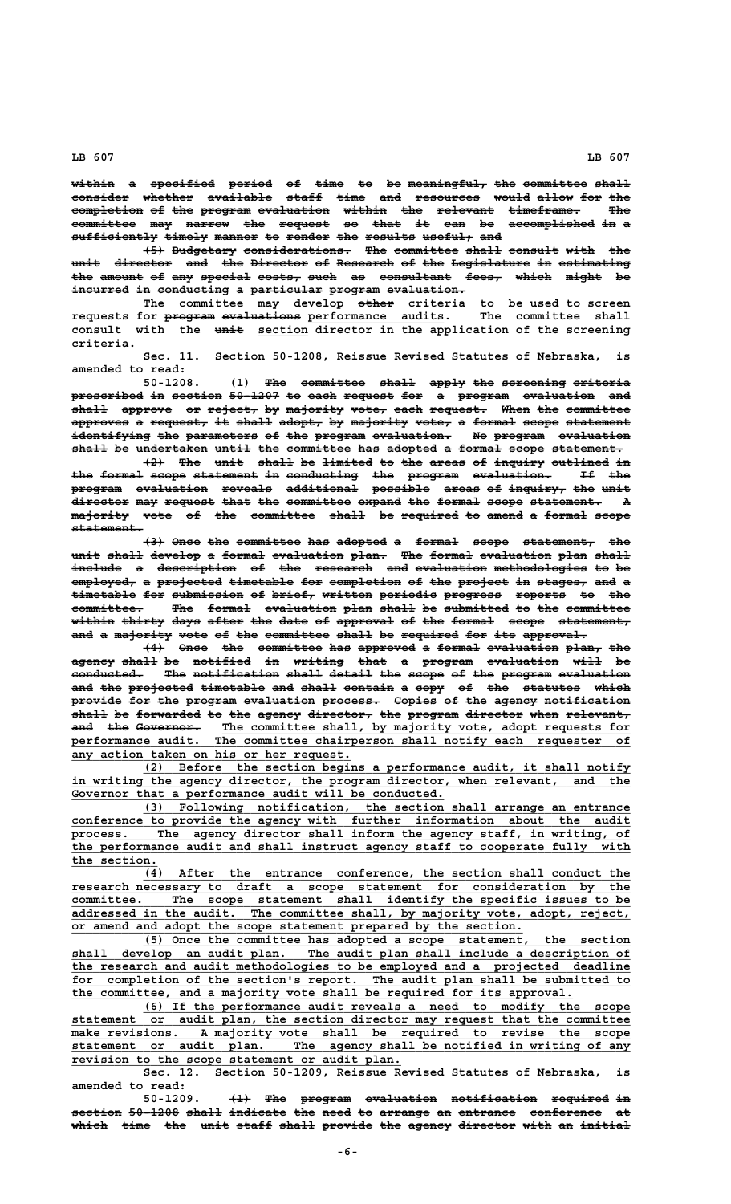within a specified period of time to be meaningful<sub>7</sub> the committee shall consider whether available staff time and resources would allow for the **completion of the program evaluation within the relevant timeframe. The —————————— —— ——— ——————— —————————— —————— ——— ———————— —————————— —— committee may narrow the request so that it can be accomplished in a ————————— ——— —————— ——— ——————— —— ———— —— ——— —— ———————————— ——**  sufficiently timely manner to render the results useful, and

**(5) Budgetary considerations. The committee shall consult with the unit director and the Director of Research of the Legislature in estimating ———— ———————— ——— ——— ———————— —— ———————— —— ——— ——————————— —— —————————** the amount of any special costs, such as consultant fees, which might be **incurred in conducting a particular program evaluation. ———————— —— —————————— — —————————— ——————— ———————————**

 **————— The committee may develop other criteria to be used to screen requests for program evaluations performance audits. The committee shall ——————— ——————————— \_\_\_\_\_\_\_\_\_\_\_\_\_\_\_\_\_\_\_** consult with the <del>unit</del> section director in the application of the screening  **criteria.**

> **Sec. 11. Section 50-1208, Reissue Revised Statutes of Nebraska, is amended to read:**

> **50-1208.** (1) The committee shall apply the screening criteria prescribed in section 50-1207 to each request for a program evaluation and  $\texttt{shall}$  approve or reject, by majority vote, each request. When the committee approves a request, it shall adopt, by majority vote, a formal scope statement **identifying the parameters of the program evaluation. No program evaluation ——————————— ——— —————————— —— ——— ——————— ——————————— —— ——————— —————————** shall be undertaken until the committee has adopted a formal scope statement.

> $\{2\}$  The unit shall be limited to the areas of inquiry outlined in **the formal scope statement in conducting the program evaluation. If the ——— —————— ————— ————————— —— —————————— ——— ——————— ——————————— —— —— program evaluation reveals additional possible areas of inquiry, the unit ——————— —————————— ——————— —————————— ———————— ————— —— ———————— ——— ——— director may request that the committee expand the formal scope statement. A ———————— ——— ——————— ———— ——— ————————— —————— ——— —————— ————— ——————————**  majority vote of the committee shall be required to amend a formal scope  **statement. ——————————**

> $(3)$  Once the committee has adopted a formal scope statement, the **unit shall develop a formal evaluation plan. The formal evaluation plan shall ———— ————— ——————— — —————— —————————— ————— ——— —————— —————————— ———— ———— include a description of the research and evaluation methodologies to be ——————— — ——————————— —— ——— ———————— ——— —————————— ————————————— —— ——**  $\overline{\texttt{employed}}$  a projected timetable for completion of the project in stages, and a timetable for submission of brief, written periodic progress reports to the committee. The formal evaluation plan shall be submitted to the committee within thirty days after the date of approval of the formal scope statement, and a majority vote of the committee shall be required for its approval.

> **(4)** Once the committee has approved a formal evaluation plan, the **agency shall be notified in writing that a program evaluation will be —————— ————— —— ———————— —— ——————— ———— — ——————— —————————— ———— —** conducted. The notification shall detail the scope of the program evaluation and the projected timetable and shall contain a copy of the statutes which **provide for the program evaluation process. Copies of the agency notification ——————— ——— ——— ——————— —————————— ———————— —————— —— ——— —————— ———————————** shall be forwarded to the agency director, the program director when relevant, and the Governor. The committee shall, by majority vote, adopt requests for performance audit. The committee chairperson shall notify each requester of  **\_\_\_\_\_\_\_\_\_\_\_\_\_\_\_\_\_\_\_\_\_\_\_\_\_\_\_\_\_\_\_\_\_\_\_\_\_\_\_ any action taken on his or her request.**

> **\_\_\_\_\_\_\_\_\_\_\_\_\_\_\_\_\_\_\_\_\_\_\_\_\_\_\_\_\_\_\_\_\_\_\_\_\_\_\_\_\_\_\_\_\_\_\_\_\_\_\_\_\_\_\_\_\_\_\_\_\_\_\_\_\_\_\_\_ (2) Before the section begins a performance audit, it shall notify** in writing the agency director, the program director, when relevant, and the Governor that a performance audit will be conducted.

 **\_\_\_\_\_\_\_\_\_\_\_\_\_\_\_\_\_\_\_\_\_\_\_\_\_\_\_\_\_\_\_\_\_\_\_\_\_\_\_\_\_\_\_\_\_\_\_\_\_\_\_\_\_\_\_\_\_\_\_\_\_\_\_\_\_\_\_\_ (3) Following notification, the section shall arrange an entrance \_\_\_\_\_\_\_\_\_\_\_\_\_\_\_\_\_\_\_\_\_\_\_\_\_\_\_\_\_\_\_\_\_\_\_\_\_\_\_\_\_\_\_\_\_\_\_\_\_\_\_\_\_\_\_\_\_\_\_\_\_\_\_\_\_\_\_\_\_\_\_\_\_\_\_\_\_\_ conference to provide the agency with further information about the audit \_\_\_\_\_\_\_\_\_\_\_\_\_\_\_\_\_\_\_\_\_\_\_\_\_\_\_\_\_\_\_\_\_\_\_\_\_\_\_\_\_\_\_\_\_\_\_\_\_\_\_\_\_\_\_\_\_\_\_\_\_\_\_\_\_\_\_\_\_\_\_\_\_\_\_\_\_\_ process. The agency director shall inform the agency staff, in writing, of \_\_\_\_\_\_\_\_\_\_\_\_\_\_\_\_\_\_\_\_\_\_\_\_\_\_\_\_\_\_\_\_\_\_\_\_\_\_\_\_\_\_\_\_\_\_\_\_\_\_\_\_\_\_\_\_\_\_\_\_\_\_\_\_\_\_\_\_\_\_\_\_\_\_\_\_\_\_ the performance audit and shall instruct agency staff to cooperate fully with** the section.

 **\_\_\_\_\_\_\_\_\_\_\_\_\_\_\_\_\_\_\_\_\_\_\_\_\_\_\_\_\_\_\_\_\_\_\_\_\_\_\_\_\_\_\_\_\_\_\_\_\_\_\_\_\_\_\_\_\_\_\_\_\_\_\_\_\_\_\_\_ (4) After the entrance conference, the section shall conduct the \_\_\_\_\_\_\_\_\_\_\_\_\_\_\_\_\_\_\_\_\_\_\_\_\_\_\_\_\_\_\_\_\_\_\_\_\_\_\_\_\_\_\_\_\_\_\_\_\_\_\_\_\_\_\_\_\_\_\_\_\_\_\_\_\_\_\_\_\_\_\_\_\_\_\_\_\_\_ research necessary to draft a scope statement for consideration by the** committee. The scope statement shall identify the specific issues to be addressed in the audit. The committee shall, by majority vote, adopt, reject, The committee shall, by majority vote, adopt, reject,  **\_\_\_\_\_\_\_\_\_\_\_\_\_\_\_\_\_\_\_\_\_\_\_\_\_\_\_\_\_\_\_\_\_\_\_\_\_\_\_\_\_\_\_\_\_\_\_\_\_\_\_\_\_\_\_\_\_\_\_\_\_\_\_ or amend and adopt the scope statement prepared by the section.**

 **\_\_\_\_\_\_\_\_\_\_\_\_\_\_\_\_\_\_\_\_\_\_\_\_\_\_\_\_\_\_\_\_\_\_\_\_\_\_\_\_\_\_\_\_\_\_\_\_\_\_\_\_\_\_\_\_\_\_\_\_\_\_\_\_\_\_\_\_ (5) Once the committee has adopted a scope statement, the section \_\_\_\_\_\_\_\_\_\_\_\_\_\_\_\_\_\_\_\_\_\_\_\_\_\_\_\_\_\_\_\_\_\_\_\_\_\_\_\_\_\_\_\_\_\_\_\_\_\_\_\_\_\_\_\_\_\_\_\_\_\_\_\_\_\_\_\_\_\_\_\_\_\_\_\_\_\_ shall develop an audit plan. The audit plan shall include a description of \_\_\_\_\_\_\_\_\_\_\_\_\_\_\_\_\_\_\_\_\_\_\_\_\_\_\_\_\_\_\_\_\_\_\_\_\_\_\_\_\_\_\_\_\_\_\_\_\_\_\_\_\_\_\_\_\_\_\_\_\_\_\_\_\_\_\_\_\_\_\_\_\_\_\_\_\_\_ the research and audit methodologies to be employed and a projected deadline** for completion of the section's report. The audit plan shall be submitted to  **\_\_\_\_\_\_\_\_\_\_\_\_\_\_\_\_\_\_\_\_\_\_\_\_\_\_\_\_\_\_\_\_\_\_\_\_\_\_\_\_\_\_\_\_\_\_\_\_\_\_\_\_\_\_\_\_\_\_\_\_\_\_\_\_\_\_\_\_\_\_ the committee, and a majority vote shall be required for its approval.**

 **\_\_\_\_\_\_\_\_\_\_\_\_\_\_\_\_\_\_\_\_\_\_\_\_\_\_\_\_\_\_\_\_\_\_\_\_\_\_\_\_\_\_\_\_\_\_\_\_\_\_\_\_\_\_\_\_\_\_\_\_\_\_\_\_\_\_\_\_ (6) If the performance audit reveals a need to modify the scope \_\_\_\_\_\_\_\_\_\_\_\_\_\_\_\_\_\_\_\_\_\_\_\_\_\_\_\_\_\_\_\_\_\_\_\_\_\_\_\_\_\_\_\_\_\_\_\_\_\_\_\_\_\_\_\_\_\_\_\_\_\_\_\_\_\_\_\_\_\_\_\_\_\_\_\_\_\_ statement or audit plan, the section director may request that the committee** statement or audit plan, the section director may request that the committee make revisions. A majority vote shall be required to revise the scope  **\_\_\_\_\_\_\_\_\_\_\_\_\_\_\_\_\_\_\_\_\_\_\_\_\_\_\_\_\_\_\_\_\_\_\_\_\_\_\_\_\_\_\_\_\_\_\_\_\_\_\_\_\_\_\_\_\_\_\_\_\_\_\_\_\_\_\_\_\_\_\_\_\_\_\_\_\_\_ statement or audit plan. The agency shall be notified in writing of any \_\_\_\_\_\_\_\_\_\_\_\_\_\_\_\_\_\_\_\_\_\_\_\_\_\_\_\_\_\_\_\_\_\_\_\_\_\_\_\_\_\_\_\_\_\_ revision to the scope statement or audit plan.**

**Sec. 12. Section 50-1209, Reissue Revised Statutes of Nebraska, is amended to read:**

50-1209.  $\leftarrow$  41 The program evaluation notification required in section 50-1208 shall indicate the need to arrange an entrance conference at which time the unit staff shall provide the agency director with an initial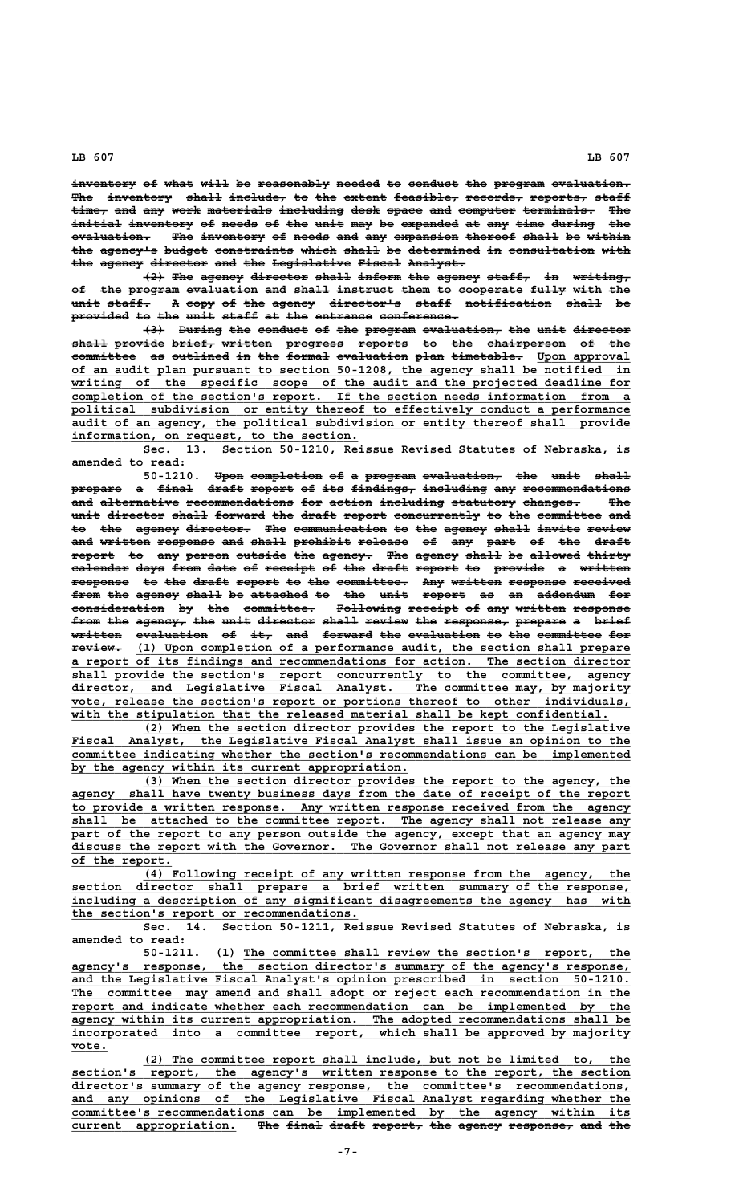inventory of what will be reasonably needed to conduct the program evaluation. The inventory shall include, to the extent feasible, records, reports, staff time, and any work materials including desk space and computer terminals. The initial inventory of needs of the unit may be expanded at any time during the evaluation. The inventory of needs and any expansion thereof shall be within the agency's budget constraints which shall be determined in consultation with the agency director and the Legislative Fiscal Analyst.

**(2) The agency director shall inform the agency staff, in writing, ——— ——— —————— ———————— ————— —————— ——— —————— —————— —— ——————— of the program evaluation and shall instruct them to cooperate fully with the —— ——— ——————— —————————— ——— ————— ———————— ———— —— ————————— ————— ———— —— unit staff. A copy of the agency director's staff notification shall be ———— —————— — ———— —— ——— —————— —————————— ————— ———————————— ————— —** provided to the unit staff at the entrance conference.

 $\left\{\left\{\cdot\right\}\right\}$  During the conduct of the program evaluation, the unit director  $\frac{\text{shell}}{\text{parallel}}$  provide brief, written progress reports to the chairperson of the **committee** as outlined in the formal evaluation plan timetable. Upon approval  **\_\_\_\_\_\_\_\_\_\_\_\_\_\_\_\_\_\_\_\_\_\_\_\_\_\_\_\_\_\_\_\_\_\_\_\_\_\_\_\_\_\_\_\_\_\_\_\_\_\_\_\_\_\_\_\_\_\_\_\_\_\_\_\_\_\_\_\_\_\_\_\_\_\_\_\_\_\_ of an audit plan pursuant to section 50-1208, the agency shall be notified in \_\_\_\_\_\_\_\_\_\_\_\_\_\_\_\_\_\_\_\_\_\_\_\_\_\_\_\_\_\_\_\_\_\_\_\_\_\_\_\_\_\_\_\_\_\_\_\_\_\_\_\_\_\_\_\_\_\_\_\_\_\_\_\_\_\_\_\_\_\_\_\_\_\_\_\_\_\_ writing of the specific scope of the audit and the projected deadline for \_\_\_\_\_\_\_\_\_\_\_\_\_\_\_\_\_\_\_\_\_\_\_\_\_\_\_\_\_\_\_\_\_\_\_\_\_\_\_\_\_\_\_\_\_\_\_\_\_\_\_\_\_\_\_\_\_\_\_\_\_\_\_\_\_\_\_\_\_\_\_\_\_\_\_\_\_\_ completion of the section's report. If the section needs information from a \_\_\_\_\_\_\_\_\_\_\_\_\_\_\_\_\_\_\_\_\_\_\_\_\_\_\_\_\_\_\_\_\_\_\_\_\_\_\_\_\_\_\_\_\_\_\_\_\_\_\_\_\_\_\_\_\_\_\_\_\_\_\_\_\_\_\_\_\_\_\_\_\_\_\_\_\_\_ political subdivision or entity thereof to effectively conduct a performance \_\_\_\_\_\_\_\_\_\_\_\_\_\_\_\_\_\_\_\_\_\_\_\_\_\_\_\_\_\_\_\_\_\_\_\_\_\_\_\_\_\_\_\_\_\_\_\_\_\_\_\_\_\_\_\_\_\_\_\_\_\_\_\_\_\_\_\_\_\_\_\_\_\_\_\_\_\_ audit of an agency, the political subdivision or entity thereof shall provide \_\_\_\_\_\_\_\_\_\_\_\_\_\_\_\_\_\_\_\_\_\_\_\_\_\_\_\_\_\_\_\_\_\_\_\_\_\_\_\_ information, on request, to the section.**

**Sec. 13. Section 50-1210, Reissue Revised Statutes of Nebraska, is amended to read:**

50-1210. Upon completion of a program evaluation, the unit shall prepare a final draft report of its findings, including any recommendations and alternative recommendations for action including statutory changes. The unit director shall forward the draft report concurrently to the committee and to the agency director. The communication to the agency shall invite review and written response and shall prohibit release of any part of the draft report to any person outside the agency. The agency shall be allowed thirty  $e$  alendar days from date of receipt of the draft report to provide a written **response to the draft report to the committee. Any written response received ———————— —— ——— ————— —————— —— ——— —————————— ——— ——————— ———————— ——————— from the agency shall be attached to the unit report as an addendum for ———— ——— —————— ————— —— ———————— —— ——— ———— —————— —— —— ———————— —— consideration by the committee. Following receipt of any written response ————————————— —— ——— —————————— ————————— ——————— —— ——— ——————— ——————— from the agency, the unit director shall review the response, prepare a brief ———— ——— ——————— ——— ———— ———————— ————— —————— ——— ————————— ——————— — ———— written evaluation of it, and forward the evaluation to the committee for ——————— —————————— —— ——— ——— ——————— ——— —————————— —— ——— ————————— ——— ——————— \_\_\_\_\_\_\_\_\_\_\_\_\_\_\_\_\_\_\_\_\_\_\_\_\_\_\_\_\_\_\_\_\_\_\_\_\_\_\_\_\_\_\_\_\_\_\_\_\_\_\_\_\_\_\_\_\_\_\_\_\_\_\_\_\_\_\_\_\_ review. (1) Upon completion of a performance audit, the section shall prepare \*eview.** (1) Upon completion of a performance audit, the section shall prepare a report of its findings and recommendations for action. The section director  **\_\_\_\_\_\_\_\_\_\_\_\_\_\_\_\_\_\_\_\_\_\_\_\_\_\_\_\_\_\_\_\_\_\_\_\_\_\_\_\_\_\_\_\_\_\_\_\_\_\_\_\_\_\_\_\_\_\_\_\_\_\_\_\_\_\_\_\_\_\_\_\_\_\_\_\_\_\_ shall provide the section's report concurrently to the committee, agency \_\_\_\_\_\_\_\_\_\_\_\_\_\_\_\_\_\_\_\_\_\_\_\_\_\_\_\_\_\_\_\_\_\_\_\_\_\_\_\_\_\_\_\_\_\_\_\_\_\_\_\_\_\_\_\_\_\_\_\_\_\_\_\_\_\_\_\_\_\_\_\_\_\_\_\_\_\_ director, and Legislative Fiscal Analyst. The committee may, by majority \_\_\_\_\_\_\_\_\_\_\_\_\_\_\_\_\_\_\_\_\_\_\_\_\_\_\_\_\_\_\_\_\_\_\_\_\_\_\_\_\_\_\_\_\_\_\_\_\_\_\_\_\_\_\_\_\_\_\_\_\_\_\_\_\_\_\_\_\_\_\_\_\_\_\_\_\_\_ vote, release the section's report or portions thereof to other individuals,** with the stipulation that the released material shall be kept confidential.

 **\_\_\_\_\_\_\_\_\_\_\_\_\_\_\_\_\_\_\_\_\_\_\_\_\_\_\_\_\_\_\_\_\_\_\_\_\_\_\_\_\_\_\_\_\_\_\_\_\_\_\_\_\_\_\_\_\_\_\_\_\_\_\_\_\_\_\_\_ (2) When the section director provides the report to the Legislative \_\_\_\_\_\_\_\_\_\_\_\_\_\_\_\_\_\_\_\_\_\_\_\_\_\_\_\_\_\_\_\_\_\_\_\_\_\_\_\_\_\_\_\_\_\_\_\_\_\_\_\_\_\_\_\_\_\_\_\_\_\_\_\_\_\_\_\_\_\_\_\_\_\_\_\_\_\_ Fiscal Analyst, the Legislative Fiscal Analyst shall issue an opinion to the \_\_\_\_\_\_\_\_\_\_\_\_\_\_\_\_\_\_\_\_\_\_\_\_\_\_\_\_\_\_\_\_\_\_\_\_\_\_\_\_\_\_\_\_\_\_\_\_\_\_\_\_\_\_\_\_\_\_\_\_\_\_\_\_\_\_\_\_\_\_\_\_\_\_\_\_\_\_ committee indicating whether the section's recommendations can be implemented \_\_\_\_\_\_\_\_\_\_\_\_\_\_\_\_\_\_\_\_\_\_\_\_\_\_\_\_\_\_\_\_\_\_\_\_\_\_\_\_\_\_\_\_\_\_\_ by the agency within its current appropriation.**

 **\_\_\_\_\_\_\_\_\_\_\_\_\_\_\_\_\_\_\_\_\_\_\_\_\_\_\_\_\_\_\_\_\_\_\_\_\_\_\_\_\_\_\_\_\_\_\_\_\_\_\_\_\_\_\_\_\_\_\_\_\_\_\_\_\_\_\_\_ (3) When the section director provides the report to the agency, the \_\_\_\_\_\_\_\_\_\_\_\_\_\_\_\_\_\_\_\_\_\_\_\_\_\_\_\_\_\_\_\_\_\_\_\_\_\_\_\_\_\_\_\_\_\_\_\_\_\_\_\_\_\_\_\_\_\_\_\_\_\_\_\_\_\_\_\_\_\_\_\_\_\_\_\_\_\_ agency shall have twenty business days from the date of receipt of the report \_\_\_\_\_\_\_\_\_\_\_\_\_\_\_\_\_\_\_\_\_\_\_\_\_\_\_\_\_\_\_\_\_\_\_\_\_\_\_\_\_\_\_\_\_\_\_\_\_\_\_\_\_\_\_\_\_\_\_\_\_\_\_\_\_\_\_\_\_\_\_\_\_\_\_\_\_\_ to provide a written response. Any written response received from the agency**  $\text{shall}$  be attached to the committee report. The agency shall not release any part of the report to any person outside the agency, except that an agency may  **\_\_\_\_\_\_\_\_\_\_\_\_\_\_\_\_\_\_\_\_\_\_\_\_\_\_\_\_\_\_\_\_\_\_\_\_\_\_\_\_\_\_\_\_\_\_\_\_\_\_\_\_\_\_\_\_\_\_\_\_\_\_\_\_\_\_\_\_\_\_\_\_\_\_\_\_\_\_ discuss the report with the Governor. The Governor shall not release any part \_\_\_\_\_\_\_\_\_\_\_\_\_\_ of the report.**

 **\_\_\_\_\_\_\_\_\_\_\_\_\_\_\_\_\_\_\_\_\_\_\_\_\_\_\_\_\_\_\_\_\_\_\_\_\_\_\_\_\_\_\_\_\_\_\_\_\_\_\_\_\_\_\_\_\_\_\_\_\_\_\_\_\_\_\_\_ (4) Following receipt of any written response from the agency, the \_\_\_\_\_\_\_\_\_\_\_\_\_\_\_\_\_\_\_\_\_\_\_\_\_\_\_\_\_\_\_\_\_\_\_\_\_\_\_\_\_\_\_\_\_\_\_\_\_\_\_\_\_\_\_\_\_\_\_\_\_\_\_\_\_\_\_\_\_\_\_\_\_\_\_\_\_\_ section director shall prepare a brief written summary of the response, \_\_\_\_\_\_\_\_\_\_\_\_\_\_\_\_\_\_\_\_\_\_\_\_\_\_\_\_\_\_\_\_\_\_\_\_\_\_\_\_\_\_\_\_\_\_\_\_\_\_\_\_\_\_\_\_\_\_\_\_\_\_\_\_\_\_\_\_\_\_\_\_\_\_\_\_\_\_ including a description of any significant disagreements the agency has with \_\_\_\_\_\_\_\_\_\_\_\_\_\_\_\_\_\_\_\_\_\_\_\_\_\_\_\_\_\_\_\_\_\_\_\_\_\_\_\_ the section's report or recommendations.**

**Sec. 14. Section 50-1211, Reissue Revised Statutes of Nebraska, is amended to read:**

 **\_\_\_\_\_\_\_\_\_\_\_\_\_\_\_\_\_\_\_\_\_\_\_\_\_\_\_\_\_\_\_\_\_\_\_\_\_\_\_\_\_\_\_\_\_\_\_\_\_\_\_\_\_\_ 50-1211. (1) The committee shall review the section's report, the \_\_\_\_\_\_\_\_\_\_\_\_\_\_\_\_\_\_\_\_\_\_\_\_\_\_\_\_\_\_\_\_\_\_\_\_\_\_\_\_\_\_\_\_\_\_\_\_\_\_\_\_\_\_\_\_\_\_\_\_\_\_\_\_\_\_\_\_\_\_\_\_\_\_\_\_\_\_ agency's response, the section director's summary of the agency's response, \_\_\_\_\_\_\_\_\_\_\_\_\_\_\_\_\_\_\_\_\_\_\_\_\_\_\_\_\_\_\_\_\_\_\_\_\_\_\_\_\_\_\_\_\_\_\_\_\_\_\_\_\_\_\_\_\_\_\_\_\_\_\_\_\_\_\_\_\_\_\_\_\_\_\_\_\_\_ and the Legislative Fiscal Analyst's opinion prescribed in section 50-1210. \_\_\_\_\_\_\_\_\_\_\_\_\_\_\_\_\_\_\_\_\_\_\_\_\_\_\_\_\_\_\_\_\_\_\_\_\_\_\_\_\_\_\_\_\_\_\_\_\_\_\_\_\_\_\_\_\_\_\_\_\_\_\_\_\_\_\_\_\_\_\_\_\_\_\_\_\_\_ The committee may amend and shall adopt or reject each recommendation in the \_\_\_\_\_\_\_\_\_\_\_\_\_\_\_\_\_\_\_\_\_\_\_\_\_\_\_\_\_\_\_\_\_\_\_\_\_\_\_\_\_\_\_\_\_\_\_\_\_\_\_\_\_\_\_\_\_\_\_\_\_\_\_\_\_\_\_\_\_\_\_\_\_\_\_\_\_\_ report and indicate whether each recommendation can be implemented by the \_\_\_\_\_\_\_\_\_\_\_\_\_\_\_\_\_\_\_\_\_\_\_\_\_\_\_\_\_\_\_\_\_\_\_\_\_\_\_\_\_\_\_\_\_\_\_\_\_\_\_\_\_\_\_\_\_\_\_\_\_\_\_\_\_\_\_\_\_\_\_\_\_\_\_\_\_\_ agency within its current appropriation. The adopted recommendations shall be \_\_\_\_\_\_\_\_\_\_\_\_\_\_\_\_\_\_\_\_\_\_\_\_\_\_\_\_\_\_\_\_\_\_\_\_\_\_\_\_\_\_\_\_\_\_\_\_\_\_\_\_\_\_\_\_\_\_\_\_\_\_\_\_\_\_\_\_\_\_\_\_\_\_\_\_\_\_ incorporated into a committee report, which shall be approved by majority vote.\_\_\_\_\_**

 **\_\_\_\_\_\_\_\_\_\_\_\_\_\_\_\_\_\_\_\_\_\_\_\_\_\_\_\_\_\_\_\_\_\_\_\_\_\_\_\_\_\_\_\_\_\_\_\_\_\_\_\_\_\_\_\_\_\_\_\_\_\_\_\_\_\_\_\_ (2) The committee report shall include, but not be limited to, the** section's report, the agency's written response to the report, the section  **\_\_\_\_\_\_\_\_\_\_\_\_\_\_\_\_\_\_\_\_\_\_\_\_\_\_\_\_\_\_\_\_\_\_\_\_\_\_\_\_\_\_\_\_\_\_\_\_\_\_\_\_\_\_\_\_\_\_\_\_\_\_\_\_\_\_\_\_\_\_\_\_\_\_\_\_\_\_ director's summary of the agency response, the committee's recommendations, \_\_\_\_\_\_\_\_\_\_\_\_\_\_\_\_\_\_\_\_\_\_\_\_\_\_\_\_\_\_\_\_\_\_\_\_\_\_\_\_\_\_\_\_\_\_\_\_\_\_\_\_\_\_\_\_\_\_\_\_\_\_\_\_\_\_\_\_\_\_\_\_\_\_\_\_\_\_ and any opinions of the Legislative Fiscal Analyst regarding whether the \_\_\_\_\_\_\_\_\_\_\_\_\_\_\_\_\_\_\_\_\_\_\_\_\_\_\_\_\_\_\_\_\_\_\_\_\_\_\_\_\_\_\_\_\_\_\_\_\_\_\_\_\_\_\_\_\_\_\_\_\_\_\_\_\_\_\_\_\_\_\_\_\_\_\_\_\_\_ committee's recommendations can be implemented by the agency within its** current appropriation. The final draft report, the agency response, and the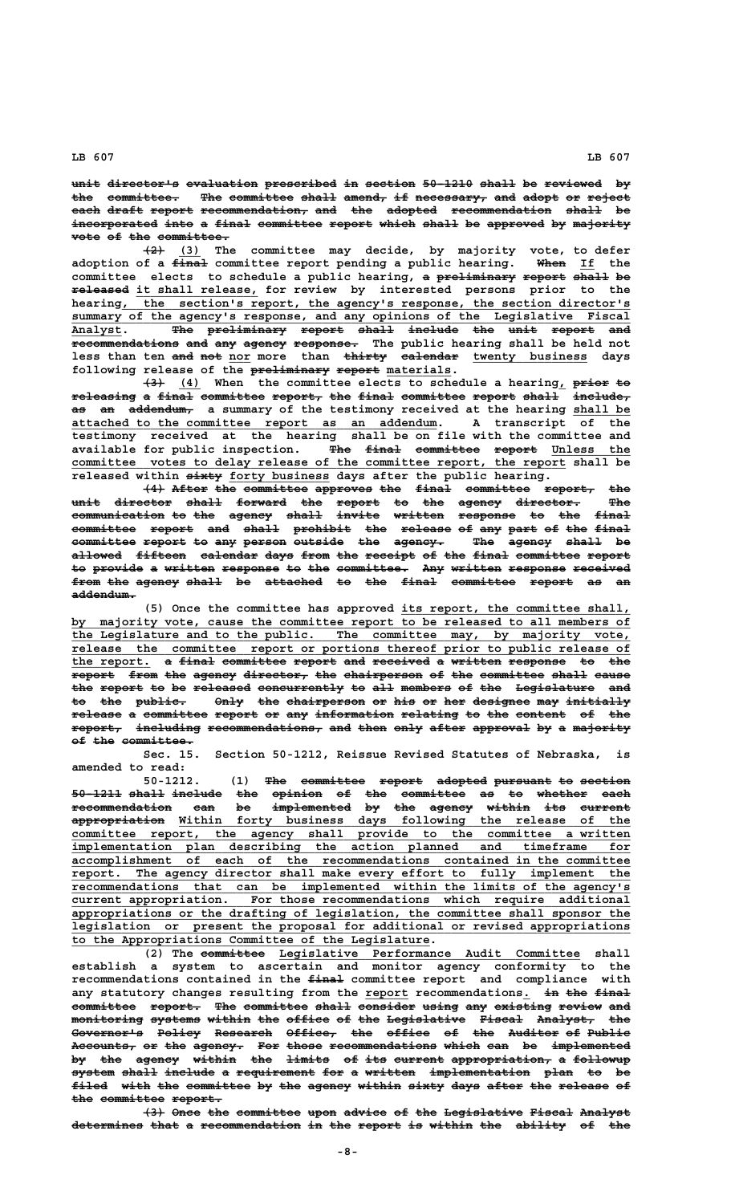unit director's evaluation prescribed in section 50-1210 shall be reviewed by the committee. The committee shall amend, if necessary, and adopt or reject each draft report recommendation, and the adopted recommendation shall be incorporated into a final committee report which shall be approved by majority **vote of the committee.** 

 **——— \_\_\_ (2) (3) The committee may decide, by majority vote, to defer ————— ———— \_\_ adoption of a final committee report pending a public hearing. When If the** committee elects to schedule a public hearing, a preliminary report shall be  $\frac{1}{2}$  **released** it shall release, for review by interested persons prior to the hearing, the section's report, the agency's response, the section director's  $\substack{\text{summary} \\ \text{of the agency's response, and any opinions of the legislative Fixed}$ **Analyst. The preliminary report shall include the unit report and \_\_\_\_\_\_\_ ——— ——————————— —————— ————— ——————— ——— ———— —————— —— recommendations and any agency response. The public hearing shall be held not ——————————————— ——— ——— —————— ————————** less than ten and not nor more than thirty ealendar twenty business days following release of the **preliminary** report materials.

 $\overline{(4)}$  When the committee elects to schedule a hearing<sub>1</sub> prior to  $\texttt{releasing}$  a final committee report, the final committee report shall include, as an addendum, a summary of the testimony received at the hearing shall be  **\_\_\_\_\_\_\_\_\_\_\_\_\_\_\_\_\_\_\_\_\_\_\_\_\_\_\_\_\_\_\_\_\_\_\_\_\_\_\_\_\_\_\_\_\_\_\_\_\_\_\_ attached to the committee report as an addendum. A transcript of the testimony received at the hearing shall be on file with the committee and available for public inspection.** The final committee report Unless the committee votes to delay release of the committee report, the report shall be released within  $\frac{1}{x+y}$  forty business days after the public hearing.

**(4) After the committee approves the final committee report, the unit director shall forward the report to the agency director. The ———— ———————— ————— ——————— ——— —————— —— ——— —————— ————————— —— communication to the agency shall invite written response to the final ————————————— —— ——— —————— ————— —————— ——————— ———————— —— ——— ———— committee report and shall prohibit the release of any part of the final ————————— —————— ——— ————— ———————— ——— ——————— —— ——— ———— —— ——— ————** committee report to any person outside the agency. The agency shall be allowed fifteen calendar days from the receipt of the final committee report to provide a written response to the committee. Any written response received from the agency shall be attached to the final committee report as an  **addendum. —————————**

**(5) Once the committee has approved its report, the committee shall, \_\_\_\_\_\_\_\_\_\_\_\_\_\_\_\_\_\_\_\_\_\_\_\_\_\_\_\_\_\_\_\_ \_\_\_\_\_\_\_\_\_\_\_\_\_\_\_\_\_\_\_\_\_\_\_\_\_\_\_\_\_\_\_\_\_\_\_\_\_\_\_\_\_\_\_\_\_\_\_\_\_\_\_\_\_\_\_\_\_\_\_\_\_\_\_\_\_\_\_\_\_\_\_\_\_\_\_\_\_\_ by majority vote, cause the committee report to be released to all members of \_\_\_\_\_\_\_\_\_\_\_\_\_\_\_\_\_\_\_\_\_\_\_\_\_\_\_\_\_\_\_\_\_\_\_\_\_\_\_\_\_\_\_\_\_\_\_\_\_\_\_\_\_\_\_\_\_\_\_\_\_\_\_\_\_\_\_\_\_\_\_\_\_\_\_\_\_\_ the Legislature and to the public. The committee may, by majority vote, \_\_\_\_\_\_\_\_\_\_\_\_\_\_\_\_\_\_\_\_\_\_\_\_\_\_\_\_\_\_\_\_\_\_\_\_\_\_\_\_\_\_\_\_\_\_\_\_\_\_\_\_\_\_\_\_\_\_\_\_\_\_\_\_\_\_\_\_\_\_\_\_\_\_\_\_\_\_ release the committee report or portions thereof prior to public release of** the report. a final committee report and received a written response to the  $\overline{\text{report}}$  from the agency director, the chairperson of the committee shall cause the report to be released concurrently to all members of the Legislature and **to the public. Only the chairperson or his or her designee may initially —— ——— ——————— ———— ——— ——————————— —— ——— —— ——— ———————— ——— ————————** release a committee report or any information relating to the content of the  $\texttt{report}$  including recommendations, and then only after approval by a majority **of the committee. —— ——— ——————————**

**Sec. 15. Section 50-1212, Reissue Revised Statutes of Nebraska, is amended to read:**

**50-1212. (1) The committee report adopted pursuant to section ——— ————————— —————— ——————— ———————— —— ——————— 50-1211 shall include the opinion of the committee as to whether each ——————— ————— ——————— ——— ——————— —— ——— ————————— —— —— ——————— ——— recommendation can be implemented by the agency within its current —————————————— ——— —— ——————————— —— ——— —————— —————— ——— ——————— ————————————— \_\_\_\_\_\_\_\_\_\_\_\_\_\_\_\_\_\_\_\_\_\_\_\_\_\_\_\_\_\_\_\_\_\_\_\_\_\_\_\_\_\_\_\_\_\_\_\_\_\_\_\_\_\_\_\_\_\_\_\_\_\_\_ appropriation Within forty business days following the release of the \_\_\_\_\_\_\_\_\_\_\_\_\_\_\_\_\_\_\_\_\_\_\_\_\_\_\_\_\_\_\_\_\_\_\_\_\_\_\_\_\_\_\_\_\_\_\_\_\_\_\_\_\_\_\_\_\_\_\_\_\_\_\_\_\_\_\_\_\_\_\_\_\_\_\_\_\_\_ committee report, the agency shall provide to the committee a written \_\_\_\_\_\_\_\_\_\_\_\_\_\_\_\_\_\_\_\_\_\_\_\_\_\_\_\_\_\_\_\_\_\_\_\_\_\_\_\_\_\_\_\_\_\_\_\_\_\_\_\_\_\_\_\_\_\_\_\_\_\_\_\_\_\_\_\_\_\_\_\_\_\_\_\_\_\_ implementation plan describing the action planned and timeframe for \_\_\_\_\_\_\_\_\_\_\_\_\_\_\_\_\_\_\_\_\_\_\_\_\_\_\_\_\_\_\_\_\_\_\_\_\_\_\_\_\_\_\_\_\_\_\_\_\_\_\_\_\_\_\_\_\_\_\_\_\_\_\_\_\_\_\_\_\_\_\_\_\_\_\_\_\_\_ accomplishment of each of the recommendations contained in the committee \_\_\_\_\_\_\_\_\_\_\_\_\_\_\_\_\_\_\_\_\_\_\_\_\_\_\_\_\_\_\_\_\_\_\_\_\_\_\_\_\_\_\_\_\_\_\_\_\_\_\_\_\_\_\_\_\_\_\_\_\_\_\_\_\_\_\_\_\_\_\_\_\_\_\_\_\_\_ report. The agency director shall make every effort to fully implement the recommendations that can be implemented within the limits of the agency's \_\_\_\_\_\_\_\_\_\_\_\_\_\_\_\_\_\_\_\_\_\_\_\_\_\_\_\_\_\_\_\_\_\_\_\_\_\_\_\_\_\_\_\_\_\_\_\_\_\_\_\_\_\_\_\_\_\_\_\_\_\_\_\_\_\_\_\_\_\_\_\_\_\_\_\_\_\_ current appropriation. For those recommendations which require additional \_\_\_\_\_\_\_\_\_\_\_\_\_\_\_\_\_\_\_\_\_\_\_\_\_\_\_\_\_\_\_\_\_\_\_\_\_\_\_\_\_\_\_\_\_\_\_\_\_\_\_\_\_\_\_\_\_\_\_\_\_\_\_\_\_\_\_\_\_\_\_\_\_\_\_\_\_\_ appropriations or the drafting of legislation, the committee shall sponsor the \_\_\_\_\_\_\_\_\_\_\_\_\_\_\_\_\_\_\_\_\_\_\_\_\_\_\_\_\_\_\_\_\_\_\_\_\_\_\_\_\_\_\_\_\_\_\_\_\_\_\_\_\_\_\_\_\_\_\_\_\_\_\_\_\_\_\_\_\_\_\_\_\_\_\_\_\_\_ legislation or present the proposal for additional or revised appropriations \_\_\_\_\_\_\_\_\_\_\_\_\_\_\_\_\_\_\_\_\_\_\_\_\_\_\_\_\_\_\_\_\_\_\_\_\_\_\_\_\_\_\_\_\_\_\_\_\_\_ to the Appropriations Committee of the Legislature.**

> (2) The committee Legislative Performance Audit Committee shall **establish a system to ascertain and monitor agency conformity to the ————— recommendations contained in the final committee report and compliance with** any statutory changes resulting from the report recommendations. in the final committee report. The committee shall consider using any existing review and monitoring systems within the office of the Legislative Fiscal Analyst, the Governor's Policy Research Office, the office of the Auditor of Public **Accounts, or the agency. For those recommendations which can be implemented ————————— —— ——— ——————— ——— ————— ——————————————— ————— ——— —— ——————————** b<del>y the agency within the limits of its-current-appropriation, a followup</del> system shall include a requirement for a written implementation plan to be filed with the committee by the agency within sixty days after the release of  $the$  committee report.

> **(3) Once the committee upon advice of the Legislative Fiscal Analyst ——— ———— ——— ————————— ———— —————— —— ——— ——————————— —————— ——————** determines that a recommendation in the report is within the ability of the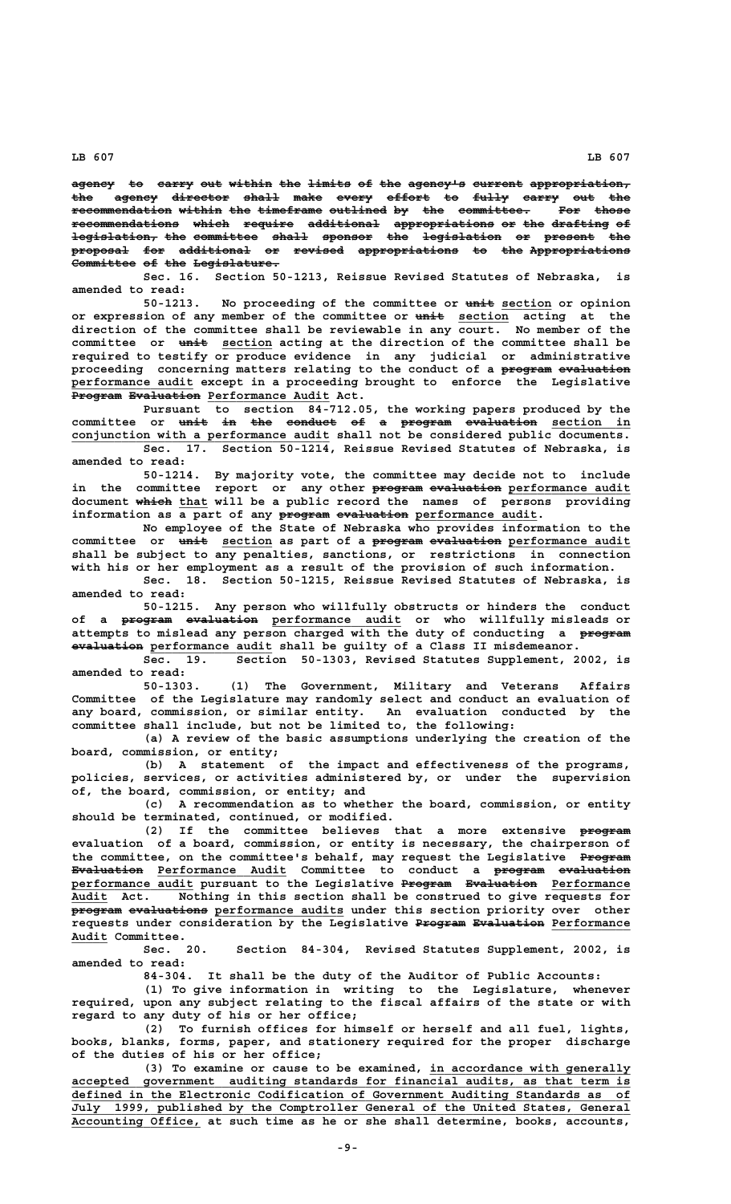agency to carry out within the limits of the agency's current appropriation, the agency director shall make every effort to fully carry out the recommendation within the timeframe outlined by the committee. For those **recommendations which require additional appropriations or the drafting of ——————————————— ————— ——————— —————————— —————————————— —— ——— ———————— ——**  $\overline{\texttt{legidation}}$  the committee shall sponsor the legislation or present the **proposal for additional or revised appropriations to the Appropriations ———————— ——— —————————— —— ——————— —————————————— —— ——— ——————————————** Committee of the Legislature.

**Sec. 16. Section 50-1213, Reissue Revised Statutes of Nebraska, is amended to read:**

50-1213. No proceeding of the committee or unit section or opinion or expression of any member of the committee or  $\frac{1}{n+1}$  section acting at the **direction of the committee shall be reviewable in any court. No member of the** committee or  $\frac{u}{u}$  section acting at the direction of the committee shall be **required to testify or produce evidence in any judicial or administrative** proceeding concerning matters relating to the conduct of a program evaluation  **\_\_\_\_\_\_\_\_\_\_\_\_\_\_\_\_\_ performance audit except in a proceeding brought to enforce the Legislative** Program Evaluation Performance Audit Act.

**Pursuant to section 84-712.05, the working papers produced by the** committee or <del>unit in the conduct of a program evaluation</del> section in conjunction with a performance audit shall not be considered public documents. **Sec. 17. Section 50-1214, Reissue Revised Statutes of Nebraska, is**

**amended to read:**

**50-1214. By majority vote, the committee may decide not to include** in the committee report or any other **program evaluation** performance audit document which that will be a public record the names of persons providing information as  $\overline{a}$  part of any program evaluation performance audit.

**No employee of the State of Nebraska who provides information to the** committee or unit section as part of a program evaluation performance audit **shall be subject to any penalties, sanctions, or restrictions in connection with his or her employment as a result of the provision of such information.**

**Sec. 18. Section 50-1215, Reissue Revised Statutes of Nebraska, is amended to read:**

**50-1215. Any person who willfully obstructs or hinders the conduct** of a <del>program evaluation</del> performance audit or who willfully-misleads-or **attempts to mislead any person charged with the duty of conducting a program ——————** evaluation performance audit shall be guilty of a Class II misdemeanor.

**Sec. 19. Section 50-1303, Revised Statutes Supplement, 2002, is amended to read:**

**50-1303. (1) The Government, Military and Veterans Affairs Committee of the Legislature may randomly select and conduct an evaluation of any board, commission, or similar entity. An evaluation conducted by the committee shall include, but not be limited to, the following:**

**(a) A review of the basic assumptions underlying the creation of the board, commission, or entity;**

**(b) A statement of the impact and effectiveness of the programs, policies, services, or activities administered by, or under the supervision of, the board, commission, or entity; and**

**(c) A recommendation as to whether the board, commission, or entity should be terminated, continued, or modified.**

(2) If the committee believes that a more extensive program **evaluation of a board, commission, or entity is necessary, the chairperson of** the committee, on the committee's behalf, may request the Legislative Program  $E$ valuation Performance Audit Committee to conduct a program evaluation performance audit pursuant to the Legislative Program Evaluation Performance Audit Act. Nothing in this section shall be construed to give requests for **program evaluations performance audits under this section priority over other** requests under consideration by the Legislative Program Evaluation Performance  **Audit Committee. \_\_\_\_\_**

**Sec. 20. Section 84-304, Revised Statutes Supplement, 2002, is amended to read:**

**84-304. It shall be the duty of the Auditor of Public Accounts:**

**(1) To give information in writing to the Legislature, whenever required, upon any subject relating to the fiscal affairs of the state or with regard to any duty of his or her office;**

**(2) To furnish offices for himself or herself and all fuel, lights, books, blanks, forms, paper, and stationery required for the proper discharge of the duties of his or her office;**

(3) To examine or cause to be examined, in accordance with generally  **\_\_\_\_\_\_\_\_\_\_\_\_\_\_\_\_\_\_\_\_\_\_\_\_\_\_\_\_\_\_\_\_\_\_\_\_\_\_\_\_\_\_\_\_\_\_\_\_\_\_\_\_\_\_\_\_\_\_\_\_\_\_\_\_\_\_\_\_\_\_\_\_\_\_\_\_\_\_ accepted government auditing standards for financial audits, as that term is \_\_\_\_\_\_\_\_\_\_\_\_\_\_\_\_\_\_\_\_\_\_\_\_\_\_\_\_\_\_\_\_\_\_\_\_\_\_\_\_\_\_\_\_\_\_\_\_\_\_\_\_\_\_\_\_\_\_\_\_\_\_\_\_\_\_\_\_\_\_\_\_\_\_\_\_\_\_ defined in the Electronic Codification of Government Auditing Standards as of \_\_\_\_\_\_\_\_\_\_\_\_\_\_\_\_\_\_\_\_\_\_\_\_\_\_\_\_\_\_\_\_\_\_\_\_\_\_\_\_\_\_\_\_\_\_\_\_\_\_\_\_\_\_\_\_\_\_\_\_\_\_\_\_\_\_\_\_\_\_\_\_\_\_\_\_\_\_ July 1999, published by the Comptroller General of the United States, General \_\_\_\_\_\_\_\_\_\_\_\_\_\_\_\_\_\_ Accounting Office, at such time as he or she shall determine, books, accounts,**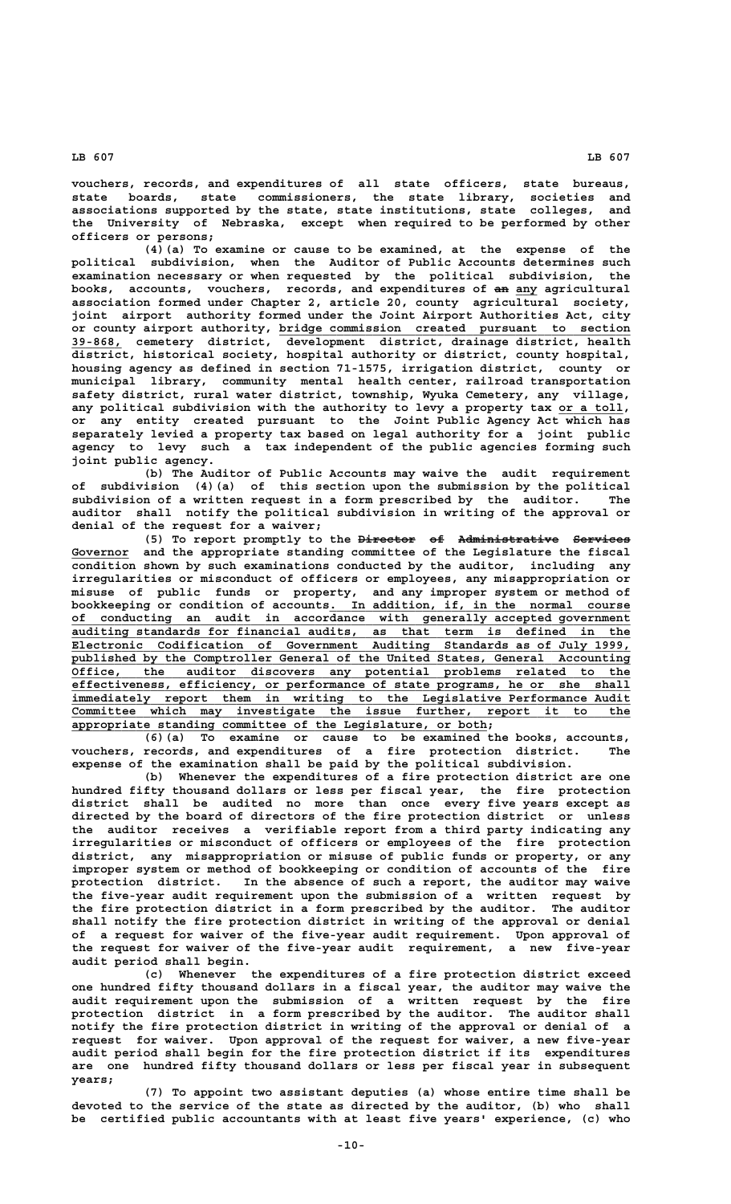**vouchers, records, and expenditures of all state officers, state bureaus, state boards, state commissioners, the state library, societies and associations supported by the state, state institutions, state colleges, and the University of Nebraska, except when required to be performed by other officers or persons;**

**(4)(a) To examine or cause to be examined, at the expense of the political subdivision, when the Auditor of Public Accounts determines such examination necessary or when requested by the political subdivision, the** books, accounts, vouchers, records, and expenditures of an any agricultural **association formed under Chapter 2, article 20, county agricultural society, joint airport authority formed under the Joint Airport Authorities Act, city \_\_\_\_\_\_\_\_\_\_\_\_\_\_\_\_\_\_\_\_\_\_\_\_\_\_\_\_\_\_\_\_\_\_\_\_\_\_\_\_\_\_\_\_\_\_\_\_\_ or county airport authority, bridge commission created pursuant to section \_\_\_\_\_\_\_ 39-868, cemetery district, development district, drainage district, health district, historical society, hospital authority or district, county hospital, housing agency as defined in section 71-1575, irrigation district, county or municipal library, community mental health center, railroad transportation safety district, rural water district, township, Wyuka Cemetery, any village,** any political subdivision with the authority to levy a property tax or a toll, **or any entity created pursuant to the Joint Public Agency Act which has separately levied a property tax based on legal authority for a joint public agency to levy such a tax independent of the public agencies forming such joint public agency.**

**(b) The Auditor of Public Accounts may waive the audit requirement of subdivision (4)(a) of this section upon the submission by the political subdivision of a written request in a form prescribed by the auditor. The auditor shall notify the political subdivision in writing of the approval or denial of the request for a waiver;**

(5) To report promptly to the <del>Director</del> of Administrative Services  **\_\_\_\_\_\_\_\_ Governor and the appropriate standing committee of the Legislature the fiscal condition shown by such examinations conducted by the auditor, including any irregularities or misconduct of officers or employees, any misappropriation or misuse of public funds or property, and any improper system or method of \_\_\_\_\_\_\_\_\_\_\_\_\_\_\_\_\_\_\_\_\_\_\_\_\_\_\_\_\_\_\_\_\_\_\_\_\_\_\_\_\_\_ bookkeeping or condition of accounts. In addition, if, in the normal course \_\_\_\_\_\_\_\_\_\_\_\_\_\_\_\_\_\_\_\_\_\_\_\_\_\_\_\_\_\_\_\_\_\_\_\_\_\_\_\_\_\_\_\_\_\_\_\_\_\_\_\_\_\_\_\_\_\_\_\_\_\_\_\_\_\_\_\_\_\_\_\_\_\_\_\_\_\_ of conducting an audit in accordance with generally accepted government \_\_\_\_\_\_\_\_\_\_\_\_\_\_\_\_\_\_\_\_\_\_\_\_\_\_\_\_\_\_\_\_\_\_\_\_\_\_\_\_\_\_\_\_\_\_\_\_\_\_\_\_\_\_\_\_\_\_\_\_\_\_\_\_\_\_\_\_\_\_\_\_\_\_\_\_\_\_ auditing standards for financial audits, as that term is defined in the \_\_\_\_\_\_\_\_\_\_\_\_\_\_\_\_\_\_\_\_\_\_\_\_\_\_\_\_\_\_\_\_\_\_\_\_\_\_\_\_\_\_\_\_\_\_\_\_\_\_\_\_\_\_\_\_\_\_\_\_\_\_\_\_\_\_\_\_\_\_\_\_\_\_\_\_\_\_ Electronic Codification of Government Auditing Standards as of July 1999, \_\_\_\_\_\_\_\_\_\_\_\_\_\_\_\_\_\_\_\_\_\_\_\_\_\_\_\_\_\_\_\_\_\_\_\_\_\_\_\_\_\_\_\_\_\_\_\_\_\_\_\_\_\_\_\_\_\_\_\_\_\_\_\_\_\_\_\_\_\_\_\_\_\_\_\_\_\_ published by the Comptroller General of the United States, General Accounting \_\_\_\_\_\_\_\_\_\_\_\_\_\_\_\_\_\_\_\_\_\_\_\_\_\_\_\_\_\_\_\_\_\_\_\_\_\_\_\_\_\_\_\_\_\_\_\_\_\_\_\_\_\_\_\_\_\_\_\_\_\_\_\_\_\_\_\_\_\_\_\_\_\_\_\_\_\_ Office, the auditor discovers any potential problems related to the \_\_\_\_\_\_\_\_\_\_\_\_\_\_\_\_\_\_\_\_\_\_\_\_\_\_\_\_\_\_\_\_\_\_\_\_\_\_\_\_\_\_\_\_\_\_\_\_\_\_\_\_\_\_\_\_\_\_\_\_\_\_\_\_\_\_\_\_\_\_\_\_\_\_\_\_\_\_ effectiveness, efficiency, or performance of state programs, he or she shall \_\_\_\_\_\_\_\_\_\_\_\_\_\_\_\_\_\_\_\_\_\_\_\_\_\_\_\_\_\_\_\_\_\_\_\_\_\_\_\_\_\_\_\_\_\_\_\_\_\_\_\_\_\_\_\_\_\_\_\_\_\_\_\_\_\_\_\_\_\_\_\_\_\_\_\_\_\_ immediately report them in writing to the Legislative Performance Audit \_\_\_\_\_\_\_\_\_\_\_\_\_\_\_\_\_\_\_\_\_\_\_\_\_\_\_\_\_\_\_\_\_\_\_\_\_\_\_\_\_\_\_\_\_\_\_\_\_\_\_\_\_\_\_\_\_\_\_\_\_\_\_\_\_\_\_\_\_\_\_\_\_\_\_\_\_\_ Committee which may investigate the issue further, report it to the \_\_\_\_\_\_\_\_\_\_\_\_\_\_\_\_\_\_\_\_\_\_\_\_\_\_\_\_\_\_\_\_\_\_\_\_\_\_\_\_\_\_\_\_\_\_\_\_\_\_\_\_\_\_\_\_\_\_ appropriate standing committee of the Legislature, or both;**

**(6)(a) To examine or cause to be examined the books, accounts, vouchers, records, and expenditures of a fire protection district. The expense of the examination shall be paid by the political subdivision.**

**(b) Whenever the expenditures of a fire protection district are one hundred fifty thousand dollars or less per fiscal year, the fire protection district shall be audited no more than once every five years except as directed by the board of directors of the fire protection district or unless the auditor receives a verifiable report from a third party indicating any irregularities or misconduct of officers or employees of the fire protection district, any misappropriation or misuse of public funds or property, or any improper system or method of bookkeeping or condition of accounts of the fire protection district. In the absence of such a report, the auditor may waive the five-year audit requirement upon the submission of a written request by the fire protection district in a form prescribed by the auditor. The auditor shall notify the fire protection district in writing of the approval or denial of a request for waiver of the five-year audit requirement. Upon approval of the request for waiver of the five-year audit requirement, a new five-year audit period shall begin.**

**(c) Whenever the expenditures of a fire protection district exceed one hundred fifty thousand dollars in a fiscal year, the auditor may waive the audit requirement upon the submission of a written request by the fire protection district in a form prescribed by the auditor. The auditor shall notify the fire protection district in writing of the approval or denial of a request for waiver. Upon approval of the request for waiver, a new five-year audit period shall begin for the fire protection district if its expenditures are one hundred fifty thousand dollars or less per fiscal year in subsequent years;**

**(7) To appoint two assistant deputies (a) whose entire time shall be devoted to the service of the state as directed by the auditor, (b) who shall be certified public accountants with at least five years' experience, (c) who**